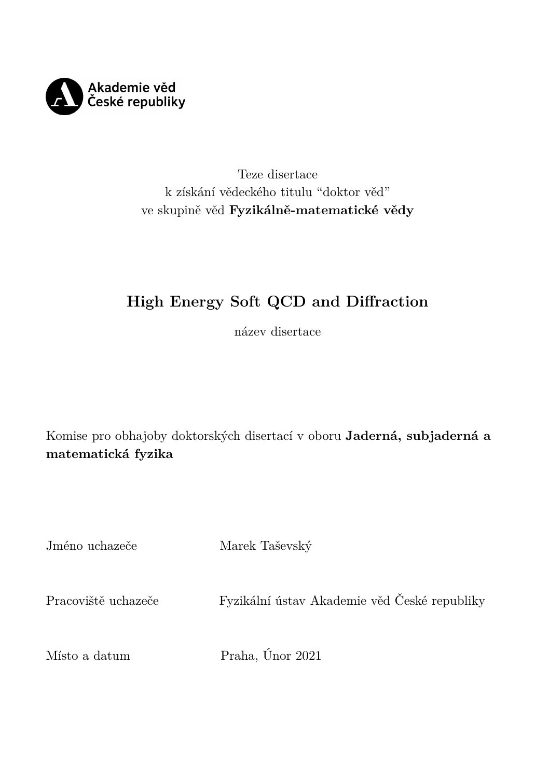

## Teze disertace k získání vědeckého titulu "doktor věd" ve skupině věd **Fyzikálně-matematické vědy**

# **High Energy Soft QCD and Diffraction**

název disertace

Komise pro obhajoby doktorských disertací v oboru **Jaderná, subjaderná a matematická fyzika**

| Jméno uchazeče      | Marek Taševský                               |
|---------------------|----------------------------------------------|
| Pracoviště uchazeče | Fyzikální ústav Akademie věd České republiky |
| Místo a datum       | Praha, Únor 2021                             |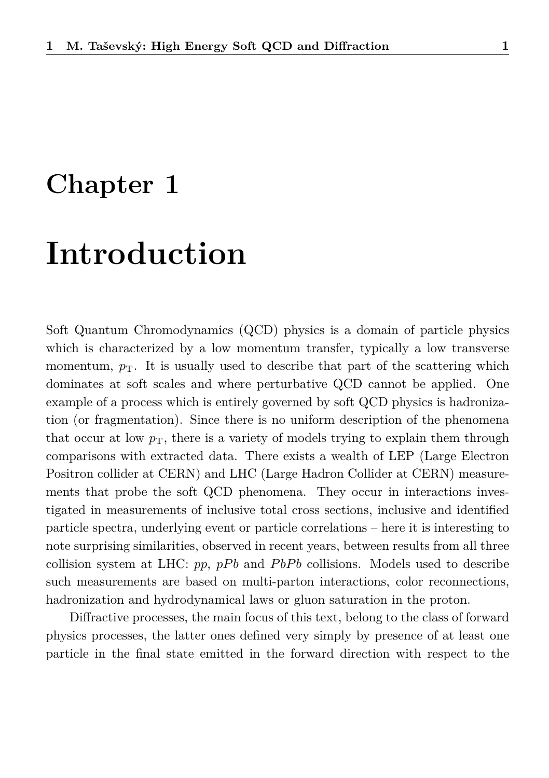# **Chapter 1**

# **Introduction**

Soft Quantum Chromodynamics (QCD) physics is a domain of particle physics which is characterized by a low momentum transfer, typically a low transverse momentum,  $p_T$ . It is usually used to describe that part of the scattering which dominates at soft scales and where perturbative QCD cannot be applied. One example of a process which is entirely governed by soft QCD physics is hadronization (or fragmentation). Since there is no uniform description of the phenomena that occur at low  $p<sub>T</sub>$ , there is a variety of models trying to explain them through comparisons with extracted data. There exists a wealth of LEP (Large Electron Positron collider at CERN) and LHC (Large Hadron Collider at CERN) measurements that probe the soft QCD phenomena. They occur in interactions investigated in measurements of inclusive total cross sections, inclusive and identified particle spectra, underlying event or particle correlations – here it is interesting to note surprising similarities, observed in recent years, between results from all three collision system at LHC: *pp*, *pPb* and *PbPb* collisions. Models used to describe such measurements are based on multi-parton interactions, color reconnections, hadronization and hydrodynamical laws or gluon saturation in the proton.

Diffractive processes, the main focus of this text, belong to the class of forward physics processes, the latter ones defined very simply by presence of at least one particle in the final state emitted in the forward direction with respect to the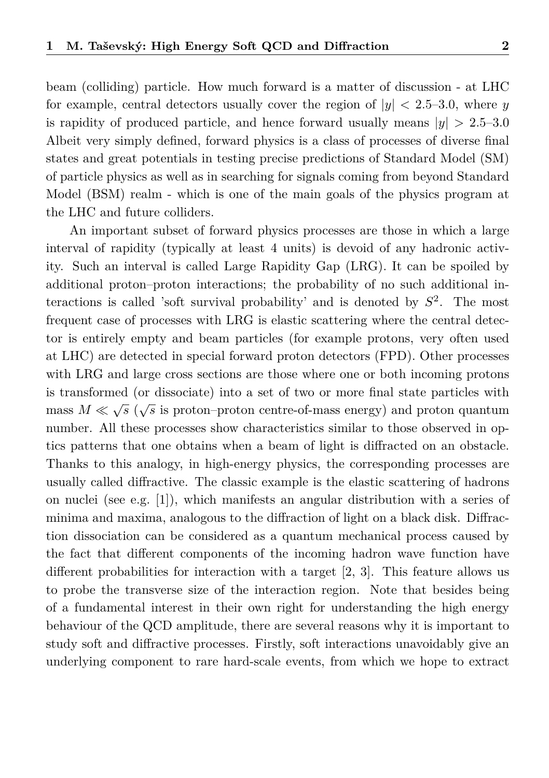beam (colliding) particle. How much forward is a matter of discussion - at LHC for example, central detectors usually cover the region of  $|y| < 2.5-3.0$ , where *y* is rapidity of produced particle, and hence forward usually means  $|y| > 2.5-3.0$ Albeit very simply defined, forward physics is a class of processes of diverse final states and great potentials in testing precise predictions of Standard Model (SM) of particle physics as well as in searching for signals coming from beyond Standard Model (BSM) realm - which is one of the main goals of the physics program at the LHC and future colliders.

An important subset of forward physics processes are those in which a large interval of rapidity (typically at least 4 units) is devoid of any hadronic activity. Such an interval is called Large Rapidity Gap (LRG). It can be spoiled by additional proton–proton interactions; the probability of no such additional interactions is called 'soft survival probability' and is denoted by *S* 2 . The most frequent case of processes with LRG is elastic scattering where the central detector is entirely empty and beam particles (for example protons, very often used at LHC) are detected in special forward proton detectors (FPD). Other processes with LRG and large cross sections are those where one or both incoming protons is transformed (or dissociate) into a set of two or more final state particles with mass  $M \ll \sqrt{s}$  ( $\sqrt{s}$  is proton–proton centre-of-mass energy) and proton quantum number. All these processes show characteristics similar to those observed in optics patterns that one obtains when a beam of light is diffracted on an obstacle. Thanks to this analogy, in high-energy physics, the corresponding processes are usually called diffractive. The classic example is the elastic scattering of hadrons on nuclei (see e.g. [\[1\]](#page-35-0)), which manifests an angular distribution with a series of minima and maxima, analogous to the diffraction of light on a black disk. Diffraction dissociation can be considered as a quantum mechanical process caused by the fact that different components of the incoming hadron wave function have different probabilities for interaction with a target [\[2,](#page-35-1) [3\]](#page-35-2). This feature allows us to probe the transverse size of the interaction region. Note that besides being of a fundamental interest in their own right for understanding the high energy behaviour of the QCD amplitude, there are several reasons why it is important to study soft and diffractive processes. Firstly, soft interactions unavoidably give an underlying component to rare hard-scale events, from which we hope to extract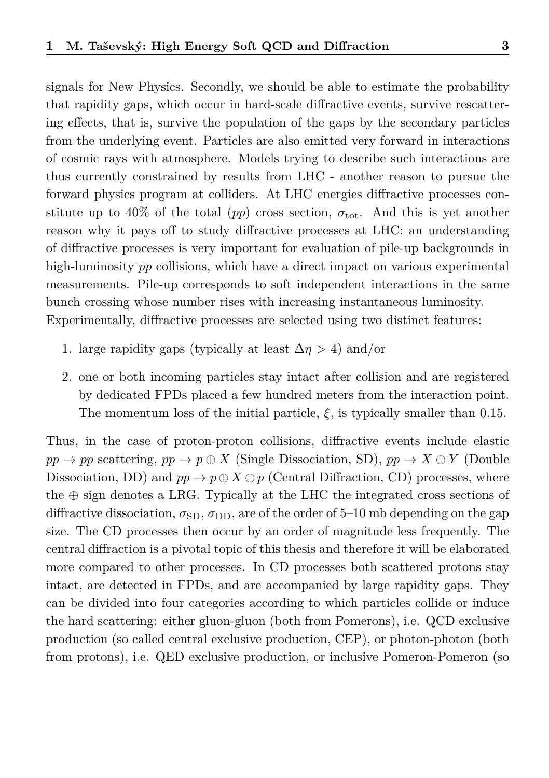signals for New Physics. Secondly, we should be able to estimate the probability that rapidity gaps, which occur in hard-scale diffractive events, survive rescattering effects, that is, survive the population of the gaps by the secondary particles from the underlying event. Particles are also emitted very forward in interactions of cosmic rays with atmosphere. Models trying to describe such interactions are thus currently constrained by results from LHC - another reason to pursue the forward physics program at colliders. At LHC energies diffractive processes constitute up to 40% of the total (*pp*) cross section,  $\sigma_{\text{tot}}$ . And this is yet another reason why it pays off to study diffractive processes at LHC: an understanding of diffractive processes is very important for evaluation of pile-up backgrounds in high-luminosity *pp* collisions, which have a direct impact on various experimental measurements. Pile-up corresponds to soft independent interactions in the same bunch crossing whose number rises with increasing instantaneous luminosity. Experimentally, diffractive processes are selected using two distinct features:

- 1. large rapidity gaps (typically at least  $\Delta \eta > 4$ ) and/or
- 2. one or both incoming particles stay intact after collision and are registered by dedicated FPDs placed a few hundred meters from the interaction point. The momentum loss of the initial particle,  $\xi$ , is typically smaller than 0.15.

Thus, in the case of proton-proton collisions, diffractive events include elastic  $pp \rightarrow pp$  scattering,  $pp \rightarrow p \oplus X$  (Single Dissociation, SD),  $pp \rightarrow X \oplus Y$  (Double Dissociation, DD) and  $pp \to p \oplus X \oplus p$  (Central Diffraction, CD) processes, where the  $\oplus$  sign denotes a LRG. Typically at the LHC the integrated cross sections of diffractive dissociation,  $\sigma_{SD}$ ,  $\sigma_{DD}$ , are of the order of 5–10 mb depending on the gap size. The CD processes then occur by an order of magnitude less frequently. The central diffraction is a pivotal topic of this thesis and therefore it will be elaborated more compared to other processes. In CD processes both scattered protons stay intact, are detected in FPDs, and are accompanied by large rapidity gaps. They can be divided into four categories according to which particles collide or induce the hard scattering: either gluon-gluon (both from Pomerons), i.e. QCD exclusive production (so called central exclusive production, CEP), or photon-photon (both from protons), i.e. QED exclusive production, or inclusive Pomeron-Pomeron (so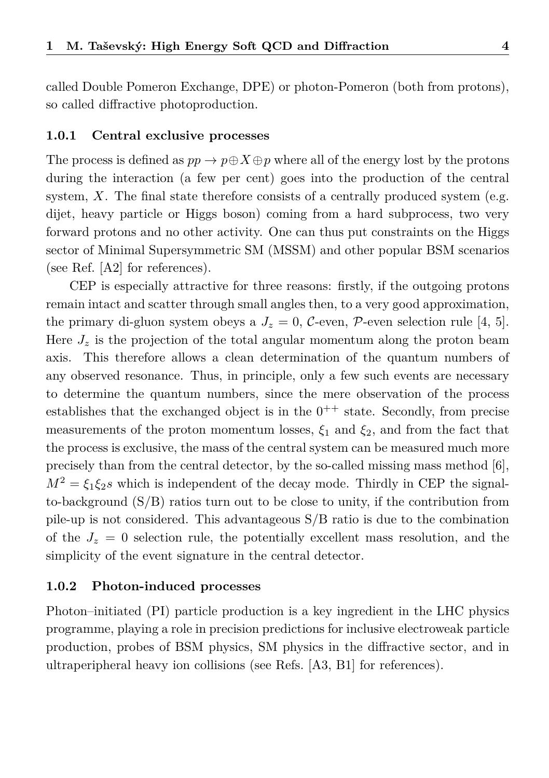called Double Pomeron Exchange, DPE) or photon-Pomeron (both from protons), so called diffractive photoproduction.

#### **1.0.1 Central exclusive processes**

The process is defined as  $pp \to p \oplus X \oplus p$  where all of the energy lost by the protons during the interaction (a few per cent) goes into the production of the central system,  $X$ . The final state therefore consists of a centrally produced system (e.g. dijet, heavy particle or Higgs boson) coming from a hard subprocess, two very forward protons and no other activity. One can thus put constraints on the Higgs sector of Minimal Supersymmetric SM (MSSM) and other popular BSM scenarios (see Ref. [\[A2\]](#page-33-0) for references).

CEP is especially attractive for three reasons: firstly, if the outgoing protons remain intact and scatter through small angles then, to a very good approximation, the primary di-gluon system obeys a  $J_z = 0$ , C-even, P-even selection rule [\[4,](#page-35-3) [5\]](#page-35-4). Here  $J_z$  is the projection of the total angular momentum along the proton beam axis. This therefore allows a clean determination of the quantum numbers of any observed resonance. Thus, in principle, only a few such events are necessary to determine the quantum numbers, since the mere observation of the process establishes that the exchanged object is in the  $0^{++}$  state. Secondly, from precise measurements of the proton momentum losses,  $\xi_1$  and  $\xi_2$ , and from the fact that the process is exclusive, the mass of the central system can be measured much more precisely than from the central detector, by the so-called missing mass method [\[6\]](#page-35-5),  $M^2 = \xi_1 \xi_2 s$  which is independent of the decay mode. Thirdly in CEP the signalto-background  $(S/B)$  ratios turn out to be close to unity, if the contribution from pile-up is not considered. This advantageous S/B ratio is due to the combination of the  $J_z = 0$  selection rule, the potentially excellent mass resolution, and the simplicity of the event signature in the central detector.

#### **1.0.2 Photon-induced processes**

Photon–initiated (PI) particle production is a key ingredient in the LHC physics programme, playing a role in precision predictions for inclusive electroweak particle production, probes of BSM physics, SM physics in the diffractive sector, and in ultraperipheral heavy ion collisions (see Refs. [\[A3,](#page-33-1) [B1\]](#page-34-0) for references).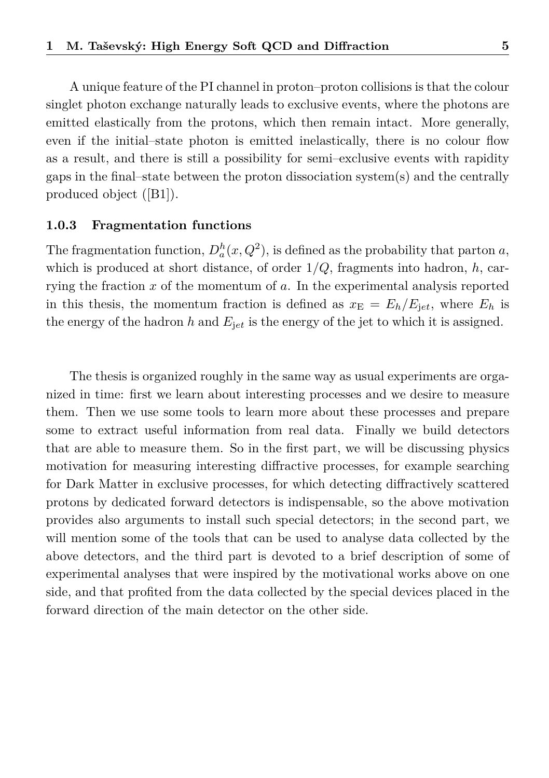A unique feature of the PI channel in proton–proton collisions is that the colour singlet photon exchange naturally leads to exclusive events, where the photons are emitted elastically from the protons, which then remain intact. More generally, even if the initial–state photon is emitted inelastically, there is no colour flow as a result, and there is still a possibility for semi–exclusive events with rapidity gaps in the final–state between the proton dissociation system(s) and the centrally produced object ([\[B1\]](#page-34-0)).

#### **1.0.3 Fragmentation functions**

The fragmentation function,  $D_a^h(x, Q^2)$ , is defined as the probability that parton *a*, which is produced at short distance, of order 1*/Q*, fragments into hadron, *h*, carrying the fraction *x* of the momentum of *a*. In the experimental analysis reported in this thesis, the momentum fraction is defined as  $x_{\rm E} = E_h/E_{\rm jet}$ , where  $E_h$  is the energy of the hadron  $h$  and  $E_{jet}$  is the energy of the jet to which it is assigned.

The thesis is organized roughly in the same way as usual experiments are organized in time: first we learn about interesting processes and we desire to measure them. Then we use some tools to learn more about these processes and prepare some to extract useful information from real data. Finally we build detectors that are able to measure them. So in the first part, we will be discussing physics motivation for measuring interesting diffractive processes, for example searching for Dark Matter in exclusive processes, for which detecting diffractively scattered protons by dedicated forward detectors is indispensable, so the above motivation provides also arguments to install such special detectors; in the second part, we will mention some of the tools that can be used to analyse data collected by the above detectors, and the third part is devoted to a brief description of some of experimental analyses that were inspired by the motivational works above on one side, and that profited from the data collected by the special devices placed in the forward direction of the main detector on the other side.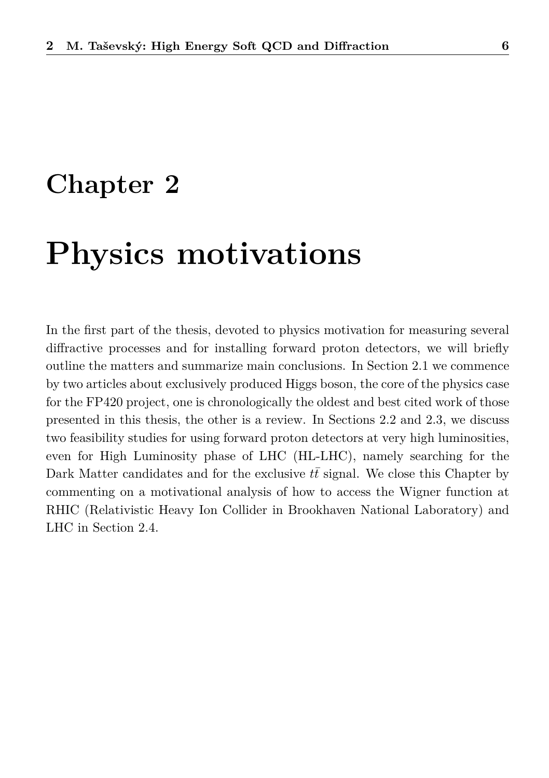# **Chapter 2**

# **Physics motivations**

In the first part of the thesis, devoted to physics motivation for measuring several diffractive processes and for installing forward proton detectors, we will briefly outline the matters and summarize main conclusions. In Section [2.1](#page-7-0) we commence by two articles about exclusively produced Higgs boson, the core of the physics case for the FP420 project, one is chronologically the oldest and best cited work of those presented in this thesis, the other is a review. In Sections [2.2](#page-9-0) and [2.3,](#page-12-0) we discuss two feasibility studies for using forward proton detectors at very high luminosities, even for High Luminosity phase of LHC (HL-LHC), namely searching for the Dark Matter candidates and for the exclusive  $t\bar{t}$  signal. We close this Chapter by commenting on a motivational analysis of how to access the Wigner function at RHIC (Relativistic Heavy Ion Collider in Brookhaven National Laboratory) and LHC in Section [2.4.](#page-14-0)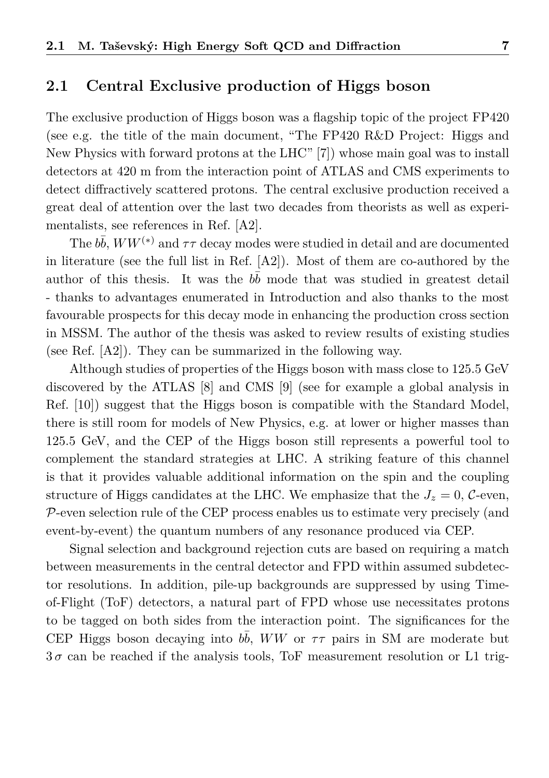### <span id="page-7-0"></span>**2.1 Central Exclusive production of Higgs boson**

The exclusive production of Higgs boson was a flagship topic of the project FP420 (see e.g. the title of the main document, "The FP420 R&D Project: Higgs and New Physics with forward protons at the LHC" [\[7\]](#page-35-6)) whose main goal was to install detectors at 420 m from the interaction point of ATLAS and CMS experiments to detect diffractively scattered protons. The central exclusive production received a great deal of attention over the last two decades from theorists as well as experimentalists, see references in Ref. [\[A2\]](#page-33-0).

The  $b\bar{b}$ ,  $WW^{(*)}$  and  $\tau\tau$  decay modes were studied in detail and are documented in literature (see the full list in Ref. [\[A2\]](#page-33-0)). Most of them are co-authored by the author of this thesis. It was the  $b\bar{b}$  mode that was studied in greatest detail - thanks to advantages enumerated in Introduction and also thanks to the most favourable prospects for this decay mode in enhancing the production cross section in MSSM. The author of the thesis was asked to review results of existing studies (see Ref. [\[A2\]](#page-33-0)). They can be summarized in the following way.

Although studies of properties of the Higgs boson with mass close to 125.5 GeV discovered by the ATLAS [\[8\]](#page-35-7) and CMS [\[9\]](#page-35-8) (see for example a global analysis in Ref. [\[10\]](#page-35-9)) suggest that the Higgs boson is compatible with the Standard Model, there is still room for models of New Physics, e.g. at lower or higher masses than 125.5 GeV, and the CEP of the Higgs boson still represents a powerful tool to complement the standard strategies at LHC. A striking feature of this channel is that it provides valuable additional information on the spin and the coupling structure of Higgs candidates at the LHC. We emphasize that the  $J_z = 0$ , C-even, P-even selection rule of the CEP process enables us to estimate very precisely (and event-by-event) the quantum numbers of any resonance produced via CEP.

Signal selection and background rejection cuts are based on requiring a match between measurements in the central detector and FPD within assumed subdetector resolutions. In addition, pile-up backgrounds are suppressed by using Timeof-Flight (ToF) detectors, a natural part of FPD whose use necessitates protons to be tagged on both sides from the interaction point. The significances for the CEP Higgs boson decaying into  $b\bar{b}$ , *WW* or  $\tau\tau$  pairs in SM are moderate but  $3\sigma$  can be reached if the analysis tools, ToF measurement resolution or L1 trig-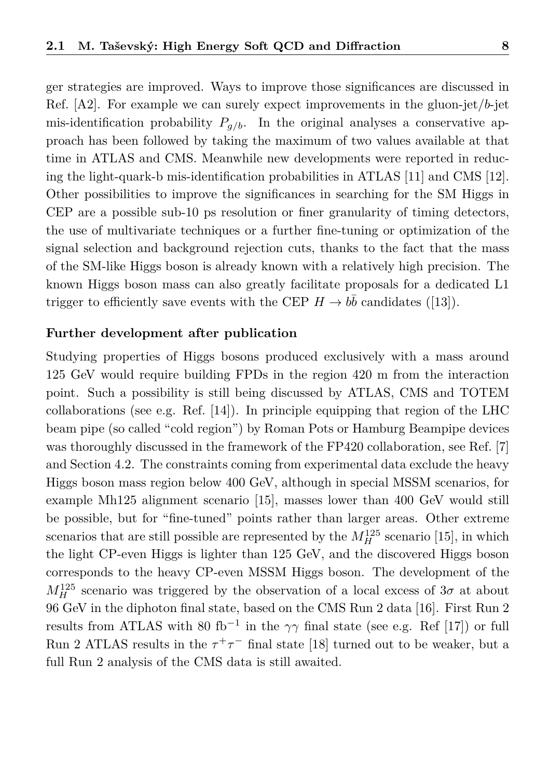ger strategies are improved. Ways to improve those significances are discussed in Ref. [\[A2\]](#page-33-0). For example we can surely expect improvements in the gluon-jet/*b*-jet mis-identification probability  $P_{q/b}$ . In the original analyses a conservative approach has been followed by taking the maximum of two values available at that time in ATLAS and CMS. Meanwhile new developments were reported in reducing the light-quark-b mis-identification probabilities in ATLAS [\[11\]](#page-36-0) and CMS [\[12\]](#page-36-1). Other possibilities to improve the significances in searching for the SM Higgs in CEP are a possible sub-10 ps resolution or finer granularity of timing detectors, the use of multivariate techniques or a further fine-tuning or optimization of the signal selection and background rejection cuts, thanks to the fact that the mass of the SM-like Higgs boson is already known with a relatively high precision. The known Higgs boson mass can also greatly facilitate proposals for a dedicated L1 trigger to efficiently save events with the CEP  $H \to b\bar{b}$  candidates ([\[13\]](#page-36-2)).

#### **Further development after publication**

Studying properties of Higgs bosons produced exclusively with a mass around 125 GeV would require building FPDs in the region 420 m from the interaction point. Such a possibility is still being discussed by ATLAS, CMS and TOTEM collaborations (see e.g. Ref. [\[14\]](#page-36-3)). In principle equipping that region of the LHC beam pipe (so called "cold region") by Roman Pots or Hamburg Beampipe devices was thoroughly discussed in the framework of the FP420 collaboration, see Ref. [\[7\]](#page-35-6) and Section [4.2.](#page-24-0) The constraints coming from experimental data exclude the heavy Higgs boson mass region below 400 GeV, although in special MSSM scenarios, for example Mh125 alignment scenario [\[15\]](#page-36-4), masses lower than 400 GeV would still be possible, but for "fine-tuned" points rather than larger areas. Other extreme scenarios that are still possible are represented by the  $M_H^{125}$  scenario [\[15\]](#page-36-4), in which the light CP-even Higgs is lighter than 125 GeV, and the discovered Higgs boson corresponds to the heavy CP-even MSSM Higgs boson. The development of the  $M_H^{125}$  scenario was triggered by the observation of a local excess of  $3\sigma$  at about 96 GeV in the diphoton final state, based on the CMS Run 2 data [\[16\]](#page-36-5). First Run 2 results from ATLAS with 80 fb<sup>-1</sup> in the  $\gamma\gamma$  final state (see e.g. Ref [\[17\]](#page-36-6)) or full Run 2 ATLAS results in the  $\tau^+\tau^-$  final state [\[18\]](#page-36-7) turned out to be weaker, but a full Run 2 analysis of the CMS data is still awaited.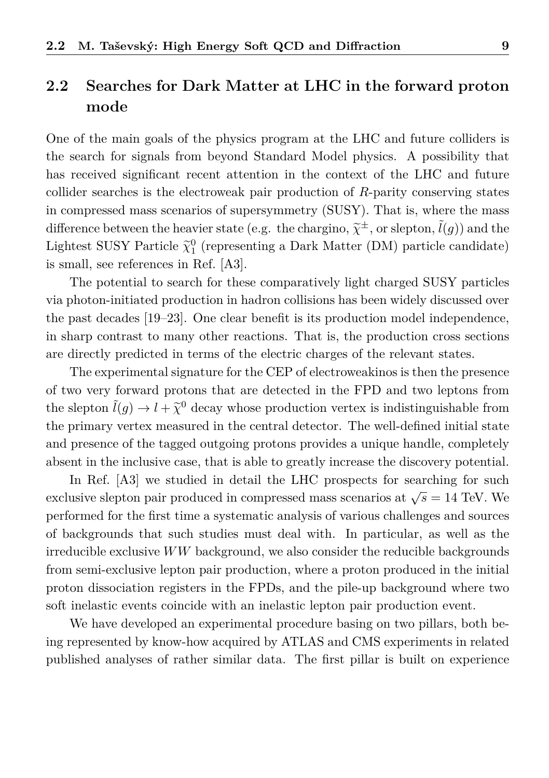## <span id="page-9-0"></span>**2.2 Searches for Dark Matter at LHC in the forward proton mode**

One of the main goals of the physics program at the LHC and future colliders is the search for signals from beyond Standard Model physics. A possibility that has received significant recent attention in the context of the LHC and future collider searches is the electroweak pair production of *R*-parity conserving states in compressed mass scenarios of supersymmetry (SUSY). That is, where the mass difference between the heavier state (e.g. the chargino,  $\tilde{\chi}^{\pm}$ , or slepton,  $\tilde{l}(g)$ ) and the<br>Lighter SUSY Darticle  $\tilde{\omega}$ <sup>0</sup> (connections a Dark Matter (DM) particle and idea) Lightest SUSY Particle  $\tilde{\chi}_1^0$  (representing a Dark Matter (DM) particle candidate) is small, see references in Ref. [\[A3\]](#page-33-1).

The potential to search for these comparatively light charged SUSY particles via photon-initiated production in hadron collisions has been widely discussed over the past decades [\[19–](#page-36-8)[23\]](#page-36-9). One clear benefit is its production model independence, in sharp contrast to many other reactions. That is, the production cross sections are directly predicted in terms of the electric charges of the relevant states.

The experimental signature for the CEP of electroweakinos is then the presence of two very forward protons that are detected in the FPD and two leptons from the slepton  $\tilde{l}(g) \to l + \tilde{\chi}^0$  decay whose production vertex is indistinguishable from<br>the primary control weapons in the control detector. The proll defined initial state the primary vertex measured in the central detector. The well-defined initial state and presence of the tagged outgoing protons provides a unique handle, completely absent in the inclusive case, that is able to greatly increase the discovery potential.

In Ref. [\[A3\]](#page-33-1) we studied in detail the LHC prospects for searching for such exclusive slepton pair produced in compressed mass scenarios at  $\sqrt{s} = 14$  TeV. We performed for the first time a systematic analysis of various challenges and sources of backgrounds that such studies must deal with. In particular, as well as the irreducible exclusive *WW* background, we also consider the reducible backgrounds from semi-exclusive lepton pair production, where a proton produced in the initial proton dissociation registers in the FPDs, and the pile-up background where two soft inelastic events coincide with an inelastic lepton pair production event.

We have developed an experimental procedure basing on two pillars, both being represented by know-how acquired by ATLAS and CMS experiments in related published analyses of rather similar data. The first pillar is built on experience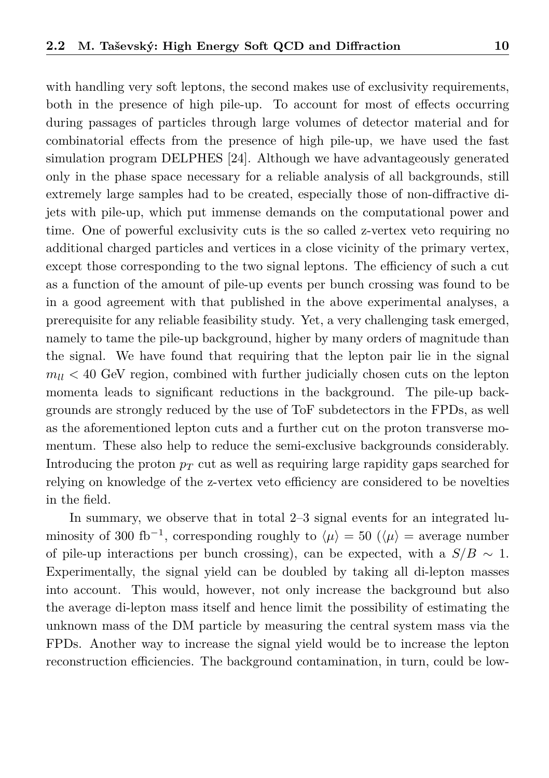with handling very soft leptons, the second makes use of exclusivity requirements, both in the presence of high pile-up. To account for most of effects occurring during passages of particles through large volumes of detector material and for combinatorial effects from the presence of high pile-up, we have used the fast simulation program DELPHES [\[24\]](#page-37-0). Although we have advantageously generated only in the phase space necessary for a reliable analysis of all backgrounds, still extremely large samples had to be created, especially those of non-diffractive dijets with pile-up, which put immense demands on the computational power and time. One of powerful exclusivity cuts is the so called z-vertex veto requiring no additional charged particles and vertices in a close vicinity of the primary vertex, except those corresponding to the two signal leptons. The efficiency of such a cut as a function of the amount of pile-up events per bunch crossing was found to be in a good agreement with that published in the above experimental analyses, a prerequisite for any reliable feasibility study. Yet, a very challenging task emerged, namely to tame the pile-up background, higher by many orders of magnitude than the signal. We have found that requiring that the lepton pair lie in the signal  $m<sub>ll</sub> < 40$  GeV region, combined with further judicially chosen cuts on the lepton momenta leads to significant reductions in the background. The pile-up backgrounds are strongly reduced by the use of ToF subdetectors in the FPDs, as well as the aforementioned lepton cuts and a further cut on the proton transverse momentum. These also help to reduce the semi-exclusive backgrounds considerably. Introducing the proton  $p_T$  cut as well as requiring large rapidity gaps searched for relying on knowledge of the z-vertex veto efficiency are considered to be novelties in the field.

In summary, we observe that in total 2–3 signal events for an integrated luminosity of 300 fb<sup>-1</sup>, corresponding roughly to  $\langle \mu \rangle = 50$  ( $\langle \mu \rangle =$  average number of pile-up interactions per bunch crossing), can be expected, with a  $S/B \sim 1$ . Experimentally, the signal yield can be doubled by taking all di-lepton masses into account. This would, however, not only increase the background but also the average di-lepton mass itself and hence limit the possibility of estimating the unknown mass of the DM particle by measuring the central system mass via the FPDs. Another way to increase the signal yield would be to increase the lepton reconstruction efficiencies. The background contamination, in turn, could be low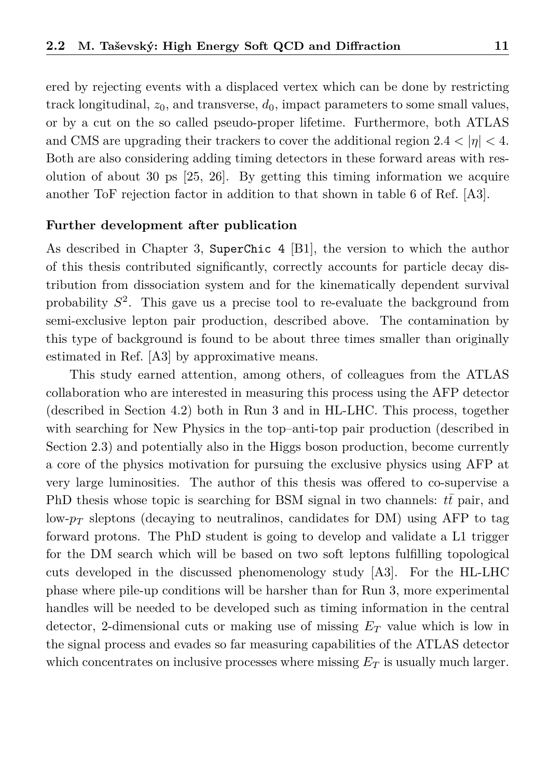ered by rejecting events with a displaced vertex which can be done by restricting track longitudinal,  $z_0$ , and transverse,  $d_0$ , impact parameters to some small values, or by a cut on the so called pseudo-proper lifetime. Furthermore, both ATLAS and CMS are upgrading their trackers to cover the additional region  $2.4 < |\eta| < 4$ . Both are also considering adding timing detectors in these forward areas with resolution of about 30 ps [\[25,](#page-37-1) [26\]](#page-37-2). By getting this timing information we acquire another ToF rejection factor in addition to that shown in table 6 of Ref. [\[A3\]](#page-33-1).

#### **Further development after publication**

As described in Chapter [3,](#page-16-0) SuperChic 4 [\[B1\]](#page-34-0), the version to which the author of this thesis contributed significantly, correctly accounts for particle decay distribution from dissociation system and for the kinematically dependent survival probability *S* 2 . This gave us a precise tool to re-evaluate the background from semi-exclusive lepton pair production, described above. The contamination by this type of background is found to be about three times smaller than originally estimated in Ref. [\[A3\]](#page-33-1) by approximative means.

This study earned attention, among others, of colleagues from the ATLAS collaboration who are interested in measuring this process using the AFP detector (described in Section [4.2\)](#page-24-0) both in Run 3 and in HL-LHC. This process, together with searching for New Physics in the top–anti-top pair production (described in Section [2.3\)](#page-12-0) and potentially also in the Higgs boson production, become currently a core of the physics motivation for pursuing the exclusive physics using AFP at very large luminosities. The author of this thesis was offered to co-supervise a PhD thesis whose topic is searching for BSM signal in two channels: *tt* pair, and low- $p_T$  sleptons (decaying to neutralinos, candidates for DM) using AFP to tag forward protons. The PhD student is going to develop and validate a L1 trigger for the DM search which will be based on two soft leptons fulfilling topological cuts developed in the discussed phenomenology study [\[A3\]](#page-33-1). For the HL-LHC phase where pile-up conditions will be harsher than for Run 3, more experimental handles will be needed to be developed such as timing information in the central detector, 2-dimensional cuts or making use of missing *E<sup>T</sup>* value which is low in the signal process and evades so far measuring capabilities of the ATLAS detector which concentrates on inclusive processes where missing  $E_T$  is usually much larger.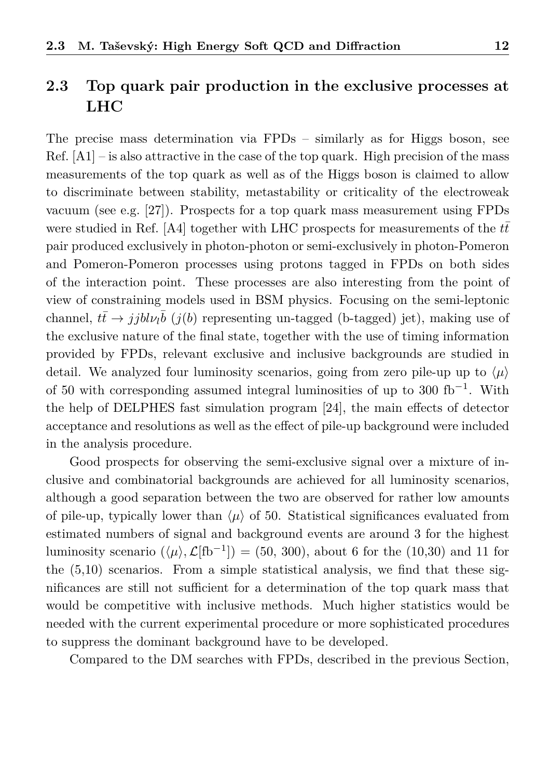## <span id="page-12-0"></span>**2.3 Top quark pair production in the exclusive processes at LHC**

The precise mass determination via FPDs – similarly as for Higgs boson, see  $Ref. [A1] - is also attractive in the case of the top quark. High precision of the mass$  $Ref. [A1] - is also attractive in the case of the top quark. High precision of the mass$  $Ref. [A1] - is also attractive in the case of the top quark. High precision of the mass$ measurements of the top quark as well as of the Higgs boson is claimed to allow to discriminate between stability, metastability or criticality of the electroweak vacuum (see e.g. [\[27\]](#page-37-3)). Prospects for a top quark mass measurement using FPDs were studied in Ref. [\[A4\]](#page-33-3) together with LHC prospects for measurements of the  $t\bar{t}$ pair produced exclusively in photon-photon or semi-exclusively in photon-Pomeron and Pomeron-Pomeron processes using protons tagged in FPDs on both sides of the interaction point. These processes are also interesting from the point of view of constraining models used in BSM physics. Focusing on the semi-leptonic channel,  $t\bar{t} \rightarrow jjbl\nu_l\bar{b}$  (*j*(*b*) representing un-tagged (b-tagged) jet), making use of the exclusive nature of the final state, together with the use of timing information provided by FPDs, relevant exclusive and inclusive backgrounds are studied in detail. We analyzed four luminosity scenarios, going from zero pile-up up to  $\langle \mu \rangle$ of 50 with corresponding assumed integral luminosities of up to 300 fb<sup>-1</sup>. With the help of DELPHES fast simulation program [\[24\]](#page-37-0), the main effects of detector acceptance and resolutions as well as the effect of pile-up background were included in the analysis procedure.

Good prospects for observing the semi-exclusive signal over a mixture of inclusive and combinatorial backgrounds are achieved for all luminosity scenarios, although a good separation between the two are observed for rather low amounts of pile-up, typically lower than  $\langle \mu \rangle$  of 50. Statistical significances evaluated from estimated numbers of signal and background events are around 3 for the highest luminosity scenario  $(\langle \mu \rangle, \mathcal{L}[\text{fb}^{-1}]) = (50, 300)$ , about 6 for the (10,30) and 11 for the (5,10) scenarios. From a simple statistical analysis, we find that these significances are still not sufficient for a determination of the top quark mass that would be competitive with inclusive methods. Much higher statistics would be needed with the current experimental procedure or more sophisticated procedures to suppress the dominant background have to be developed.

Compared to the DM searches with FPDs, described in the previous Section,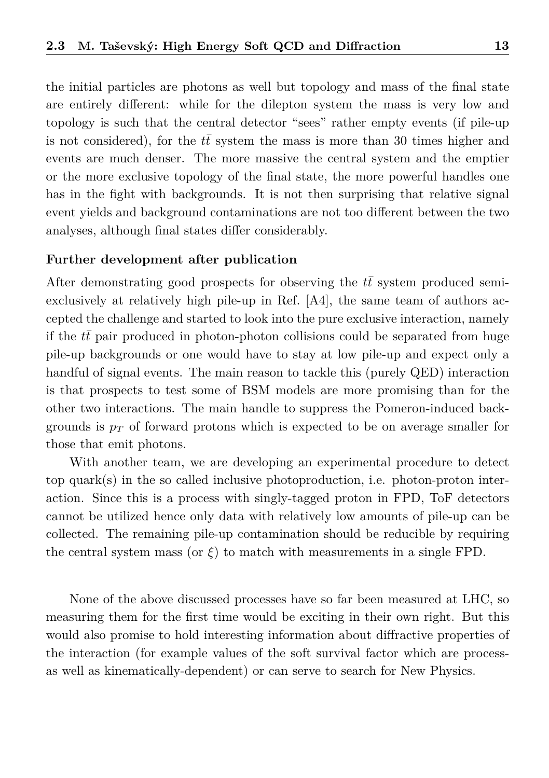the initial particles are photons as well but topology and mass of the final state are entirely different: while for the dilepton system the mass is very low and topology is such that the central detector "sees" rather empty events (if pile-up is not considered), for the  $t\bar{t}$  system the mass is more than 30 times higher and events are much denser. The more massive the central system and the emptier or the more exclusive topology of the final state, the more powerful handles one has in the fight with backgrounds. It is not then surprising that relative signal event yields and background contaminations are not too different between the two analyses, although final states differ considerably.

#### **Further development after publication**

After demonstrating good prospects for observing the  $t\bar{t}$  system produced semiexclusively at relatively high pile-up in Ref. [\[A4\]](#page-33-3), the same team of authors accepted the challenge and started to look into the pure exclusive interaction, namely if the *tt* pair produced in photon-photon collisions could be separated from huge pile-up backgrounds or one would have to stay at low pile-up and expect only a handful of signal events. The main reason to tackle this (purely QED) interaction is that prospects to test some of BSM models are more promising than for the other two interactions. The main handle to suppress the Pomeron-induced backgrounds is  $p_T$  of forward protons which is expected to be on average smaller for those that emit photons.

With another team, we are developing an experimental procedure to detect top quark(s) in the so called inclusive photoproduction, i.e. photon-proton interaction. Since this is a process with singly-tagged proton in FPD, ToF detectors cannot be utilized hence only data with relatively low amounts of pile-up can be collected. The remaining pile-up contamination should be reducible by requiring the central system mass (or  $\xi$ ) to match with measurements in a single FPD.

None of the above discussed processes have so far been measured at LHC, so measuring them for the first time would be exciting in their own right. But this would also promise to hold interesting information about diffractive properties of the interaction (for example values of the soft survival factor which are processas well as kinematically-dependent) or can serve to search for New Physics.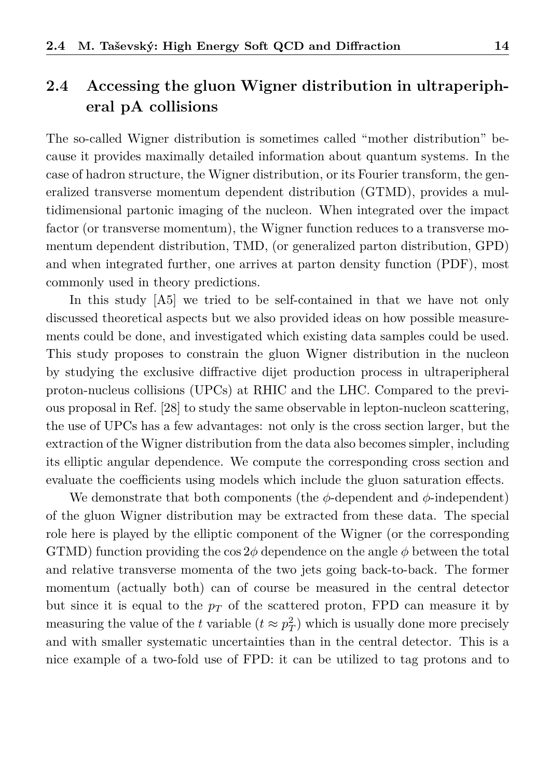# <span id="page-14-0"></span>**2.4 Accessing the gluon Wigner distribution in ultraperipheral pA collisions**

The so-called Wigner distribution is sometimes called "mother distribution" because it provides maximally detailed information about quantum systems. In the case of hadron structure, the Wigner distribution, or its Fourier transform, the generalized transverse momentum dependent distribution (GTMD), provides a multidimensional partonic imaging of the nucleon. When integrated over the impact factor (or transverse momentum), the Wigner function reduces to a transverse momentum dependent distribution, TMD, (or generalized parton distribution, GPD) and when integrated further, one arrives at parton density function (PDF), most commonly used in theory predictions.

In this study [\[A5\]](#page-33-4) we tried to be self-contained in that we have not only discussed theoretical aspects but we also provided ideas on how possible measurements could be done, and investigated which existing data samples could be used. This study proposes to constrain the gluon Wigner distribution in the nucleon by studying the exclusive diffractive dijet production process in ultraperipheral proton-nucleus collisions (UPCs) at RHIC and the LHC. Compared to the previous proposal in Ref. [\[28\]](#page-37-4) to study the same observable in lepton-nucleon scattering, the use of UPCs has a few advantages: not only is the cross section larger, but the extraction of the Wigner distribution from the data also becomes simpler, including its elliptic angular dependence. We compute the corresponding cross section and evaluate the coefficients using models which include the gluon saturation effects.

We demonstrate that both components (the  $\phi$ -dependent and  $\phi$ -independent) of the gluon Wigner distribution may be extracted from these data. The special role here is played by the elliptic component of the Wigner (or the corresponding GTMD) function providing the  $\cos 2\phi$  dependence on the angle  $\phi$  between the total and relative transverse momenta of the two jets going back-to-back. The former momentum (actually both) can of course be measured in the central detector but since it is equal to the  $p_T$  of the scattered proton, FPD can measure it by measuring the value of the *t* variable  $(t \approx p_T^2)$  which is usually done more precisely and with smaller systematic uncertainties than in the central detector. This is a nice example of a two-fold use of FPD: it can be utilized to tag protons and to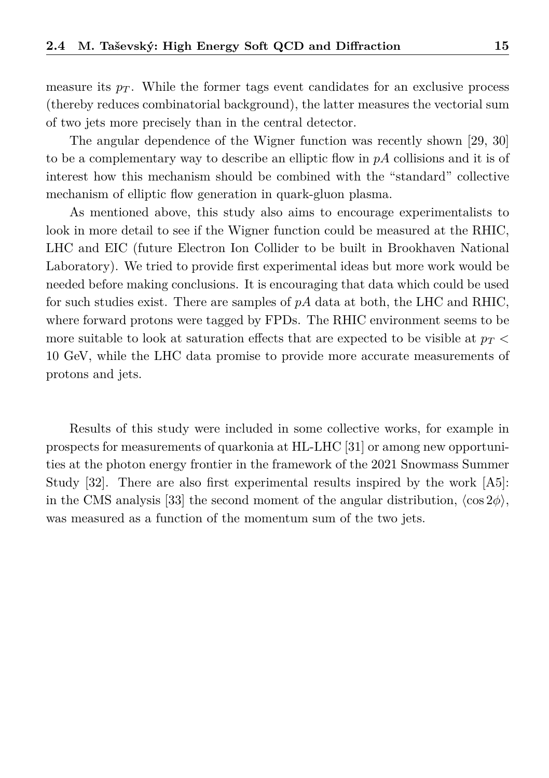measure its  $p_T$ . While the former tags event candidates for an exclusive process (thereby reduces combinatorial background), the latter measures the vectorial sum of two jets more precisely than in the central detector.

The angular dependence of the Wigner function was recently shown [\[29,](#page-37-5) [30\]](#page-37-6) to be a complementary way to describe an elliptic flow in *pA* collisions and it is of interest how this mechanism should be combined with the "standard" collective mechanism of elliptic flow generation in quark-gluon plasma.

As mentioned above, this study also aims to encourage experimentalists to look in more detail to see if the Wigner function could be measured at the RHIC, LHC and EIC (future Electron Ion Collider to be built in Brookhaven National Laboratory). We tried to provide first experimental ideas but more work would be needed before making conclusions. It is encouraging that data which could be used for such studies exist. There are samples of *pA* data at both, the LHC and RHIC, where forward protons were tagged by FPDs. The RHIC environment seems to be more suitable to look at saturation effects that are expected to be visible at *p<sup>T</sup> <* 10 GeV, while the LHC data promise to provide more accurate measurements of protons and jets.

Results of this study were included in some collective works, for example in prospects for measurements of quarkonia at HL-LHC [\[31\]](#page-37-7) or among new opportunities at the photon energy frontier in the framework of the 2021 Snowmass Summer Study [\[32\]](#page-37-8). There are also first experimental results inspired by the work [\[A5\]](#page-33-4): in the CMS analysis [\[33\]](#page-37-9) the second moment of the angular distribution,  $\langle \cos 2\phi \rangle$ , was measured as a function of the momentum sum of the two jets.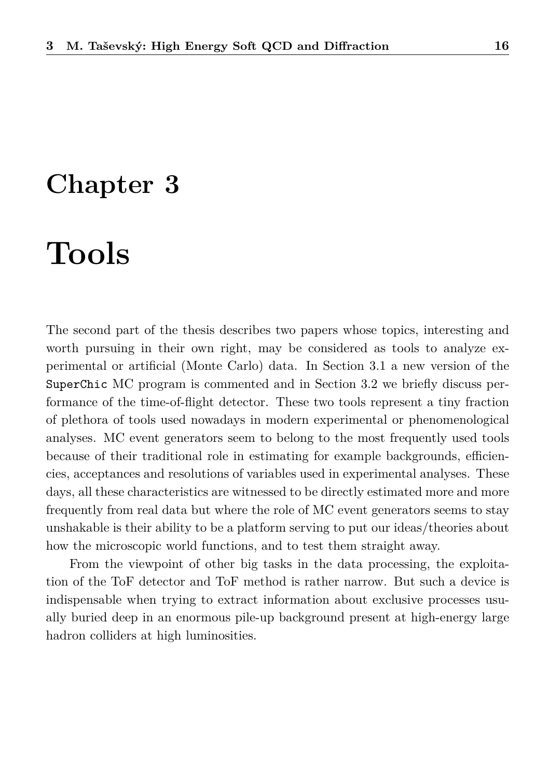# <span id="page-16-0"></span>**Chapter 3**

# **Tools**

The second part of the thesis describes two papers whose topics, interesting and worth pursuing in their own right, may be considered as tools to analyze experimental or artificial (Monte Carlo) data. In Section [3.1](#page-17-0) a new version of the SuperChic MC program is commented and in Section [3.2](#page-19-0) we briefly discuss performance of the time-of-flight detector. These two tools represent a tiny fraction of plethora of tools used nowadays in modern experimental or phenomenological analyses. MC event generators seem to belong to the most frequently used tools because of their traditional role in estimating for example backgrounds, efficiencies, acceptances and resolutions of variables used in experimental analyses. These days, all these characteristics are witnessed to be directly estimated more and more frequently from real data but where the role of MC event generators seems to stay unshakable is their ability to be a platform serving to put our ideas/theories about how the microscopic world functions, and to test them straight away.

From the viewpoint of other big tasks in the data processing, the exploitation of the ToF detector and ToF method is rather narrow. But such a device is indispensable when trying to extract information about exclusive processes usually buried deep in an enormous pile-up background present at high-energy large hadron colliders at high luminosities.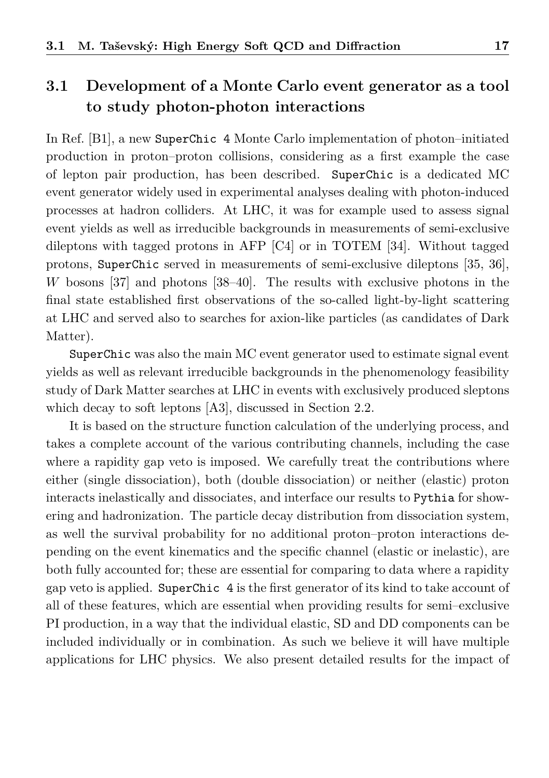## <span id="page-17-0"></span>**3.1 Development of a Monte Carlo event generator as a tool to study photon-photon interactions**

In Ref. [\[B1\]](#page-34-0), a new SuperChic 4 Monte Carlo implementation of photon–initiated production in proton–proton collisions, considering as a first example the case of lepton pair production, has been described. SuperChic is a dedicated MC event generator widely used in experimental analyses dealing with photon-induced processes at hadron colliders. At LHC, it was for example used to assess signal event yields as well as irreducible backgrounds in measurements of semi-exclusive dileptons with tagged protons in AFP [\[C4\]](#page-34-1) or in TOTEM [\[34\]](#page-37-10). Without tagged protons, SuperChic served in measurements of semi-exclusive dileptons [\[35,](#page-37-11) [36\]](#page-37-12), *W* bosons [\[37\]](#page-38-0) and photons [\[38](#page-38-1)[–40\]](#page-38-2). The results with exclusive photons in the final state established first observations of the so-called light-by-light scattering at LHC and served also to searches for axion-like particles (as candidates of Dark Matter).

SuperChic was also the main MC event generator used to estimate signal event yields as well as relevant irreducible backgrounds in the phenomenology feasibility study of Dark Matter searches at LHC in events with exclusively produced sleptons which decay to soft leptons [\[A3\]](#page-33-1), discussed in Section [2.2.](#page-9-0)

It is based on the structure function calculation of the underlying process, and takes a complete account of the various contributing channels, including the case where a rapidity gap veto is imposed. We carefully treat the contributions where either (single dissociation), both (double dissociation) or neither (elastic) proton interacts inelastically and dissociates, and interface our results to Pythia for showering and hadronization. The particle decay distribution from dissociation system, as well the survival probability for no additional proton–proton interactions depending on the event kinematics and the specific channel (elastic or inelastic), are both fully accounted for; these are essential for comparing to data where a rapidity gap veto is applied. SuperChic 4 is the first generator of its kind to take account of all of these features, which are essential when providing results for semi–exclusive PI production, in a way that the individual elastic, SD and DD components can be included individually or in combination. As such we believe it will have multiple applications for LHC physics. We also present detailed results for the impact of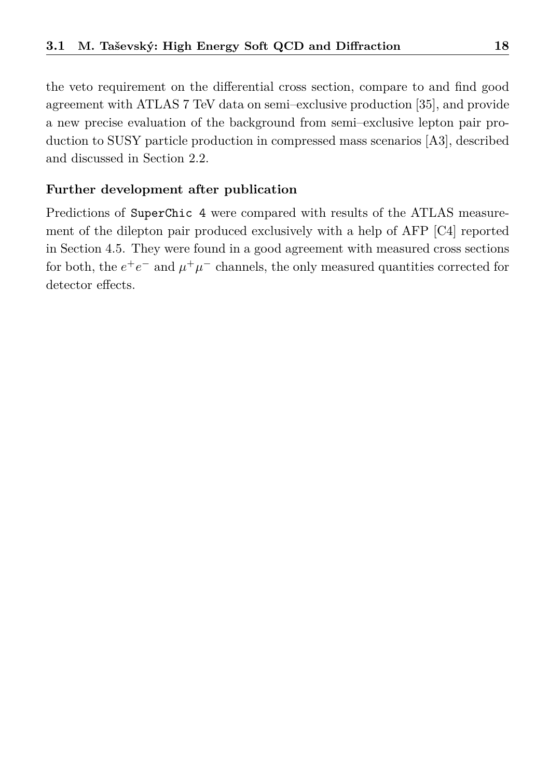the veto requirement on the differential cross section, compare to and find good agreement with ATLAS 7 TeV data on semi–exclusive production [\[35\]](#page-37-11), and provide a new precise evaluation of the background from semi–exclusive lepton pair production to SUSY particle production in compressed mass scenarios [\[A3\]](#page-33-1), described and discussed in Section [2.2.](#page-9-0)

#### **Further development after publication**

Predictions of SuperChic 4 were compared with results of the ATLAS measurement of the dilepton pair produced exclusively with a help of AFP [\[C4\]](#page-34-1) reported in Section [4.5.](#page-29-0) They were found in a good agreement with measured cross sections for both, the  $e^+e^-$  and  $\mu^+\mu^-$  channels, the only measured quantities corrected for detector effects.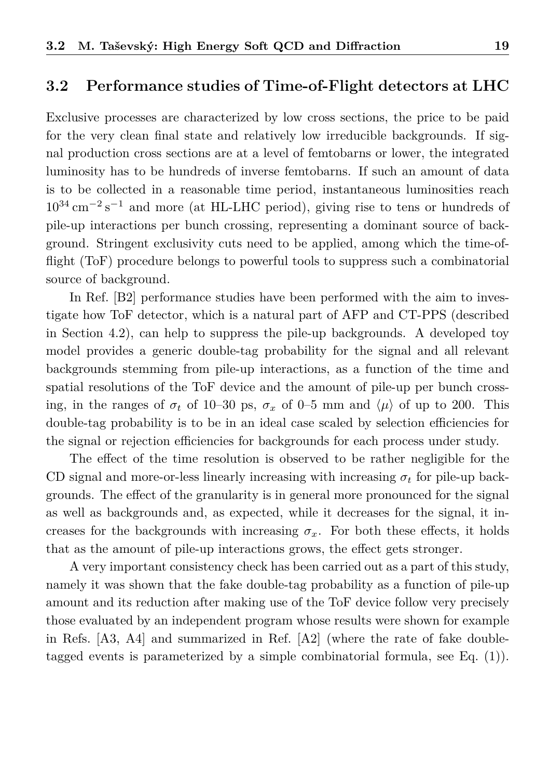#### <span id="page-19-0"></span>**3.2 Performance studies of Time-of-Flight detectors at LHC**

Exclusive processes are characterized by low cross sections, the price to be paid for the very clean final state and relatively low irreducible backgrounds. If signal production cross sections are at a level of femtobarns or lower, the integrated luminosity has to be hundreds of inverse femtobarns. If such an amount of data is to be collected in a reasonable time period, instantaneous luminosities reach  $10^{34}$  cm<sup>-2</sup> s<sup>-1</sup> and more (at HL-LHC period), giving rise to tens or hundreds of pile-up interactions per bunch crossing, representing a dominant source of background. Stringent exclusivity cuts need to be applied, among which the time-offlight (ToF) procedure belongs to powerful tools to suppress such a combinatorial source of background.

In Ref. [\[B2\]](#page-34-2) performance studies have been performed with the aim to investigate how ToF detector, which is a natural part of AFP and CT-PPS (described in Section [4.2\)](#page-24-0), can help to suppress the pile-up backgrounds. A developed toy model provides a generic double-tag probability for the signal and all relevant backgrounds stemming from pile-up interactions, as a function of the time and spatial resolutions of the ToF device and the amount of pile-up per bunch crossing, in the ranges of  $\sigma_t$  of 10–30 ps,  $\sigma_x$  of 0–5 mm and  $\langle \mu \rangle$  of up to 200. This double-tag probability is to be in an ideal case scaled by selection efficiencies for the signal or rejection efficiencies for backgrounds for each process under study.

The effect of the time resolution is observed to be rather negligible for the CD signal and more-or-less linearly increasing with increasing  $\sigma_t$  for pile-up backgrounds. The effect of the granularity is in general more pronounced for the signal as well as backgrounds and, as expected, while it decreases for the signal, it increases for the backgrounds with increasing  $\sigma_x$ . For both these effects, it holds that as the amount of pile-up interactions grows, the effect gets stronger.

A very important consistency check has been carried out as a part of this study, namely it was shown that the fake double-tag probability as a function of pile-up amount and its reduction after making use of the ToF device follow very precisely those evaluated by an independent program whose results were shown for example in Refs. [\[A3,](#page-33-1) [A4\]](#page-33-3) and summarized in Ref. [\[A2\]](#page-33-0) (where the rate of fake doubletagged events is parameterized by a simple combinatorial formula, see Eq. (1)).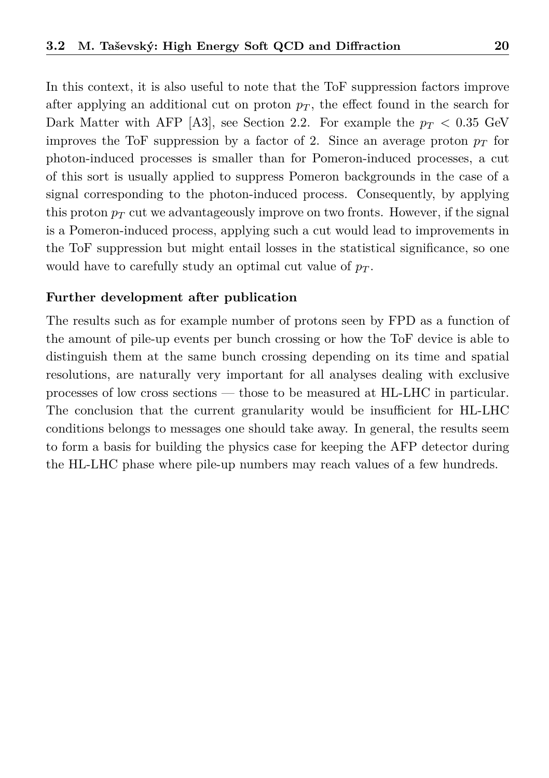In this context, it is also useful to note that the ToF suppression factors improve after applying an additional cut on proton  $p<sub>T</sub>$ , the effect found in the search for Dark Matter with AFP [\[A3\]](#page-33-1), see Section [2.2.](#page-9-0) For example the  $p_T < 0.35$  GeV improves the ToF suppression by a factor of 2. Since an average proton  $p_T$  for photon-induced processes is smaller than for Pomeron-induced processes, a cut of this sort is usually applied to suppress Pomeron backgrounds in the case of a signal corresponding to the photon-induced process. Consequently, by applying this proton  $p_T$  cut we advantageously improve on two fronts. However, if the signal is a Pomeron-induced process, applying such a cut would lead to improvements in the ToF suppression but might entail losses in the statistical significance, so one would have to carefully study an optimal cut value of *p<sup>T</sup>* .

#### **Further development after publication**

The results such as for example number of protons seen by FPD as a function of the amount of pile-up events per bunch crossing or how the ToF device is able to distinguish them at the same bunch crossing depending on its time and spatial resolutions, are naturally very important for all analyses dealing with exclusive processes of low cross sections — those to be measured at HL-LHC in particular. The conclusion that the current granularity would be insufficient for HL-LHC conditions belongs to messages one should take away. In general, the results seem to form a basis for building the physics case for keeping the AFP detector during the HL-LHC phase where pile-up numbers may reach values of a few hundreds.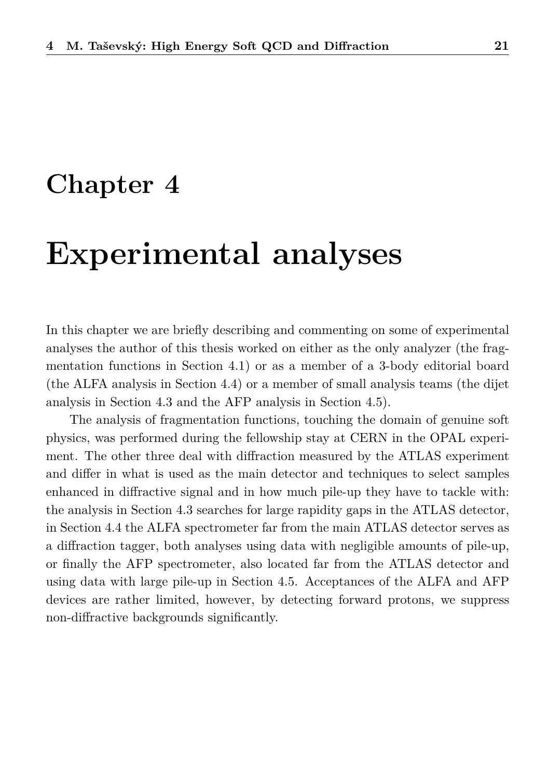# **Chapter 4**

# **Experimental analyses**

In this chapter we are briefly describing and commenting on some of experimental analyses the author of this thesis worked on either as the only analyzer (the fragmentation functions in Section [4.1\)](#page-22-0) or as a member of a 3-body editorial board (the ALFA analysis in Section [4.4\)](#page-27-0) or a member of small analysis teams (the dijet analysis in Section [4.3](#page-25-0) and the AFP analysis in Section [4.5\)](#page-29-0).

The analysis of fragmentation functions, touching the domain of genuine soft physics, was performed during the fellowship stay at CERN in the OPAL experiment. The other three deal with diffraction measured by the ATLAS experiment and differ in what is used as the main detector and techniques to select samples enhanced in diffractive signal and in how much pile-up they have to tackle with: the analysis in Section [4.3](#page-25-0) searches for large rapidity gaps in the ATLAS detector, in Section [4.4](#page-27-0) the ALFA spectrometer far from the main ATLAS detector serves as a diffraction tagger, both analyses using data with negligible amounts of pile-up, or finally the AFP spectrometer, also located far from the ATLAS detector and using data with large pile-up in Section [4.5.](#page-29-0) Acceptances of the ALFA and AFP devices are rather limited, however, by detecting forward protons, we suppress non-diffractive backgrounds significantly.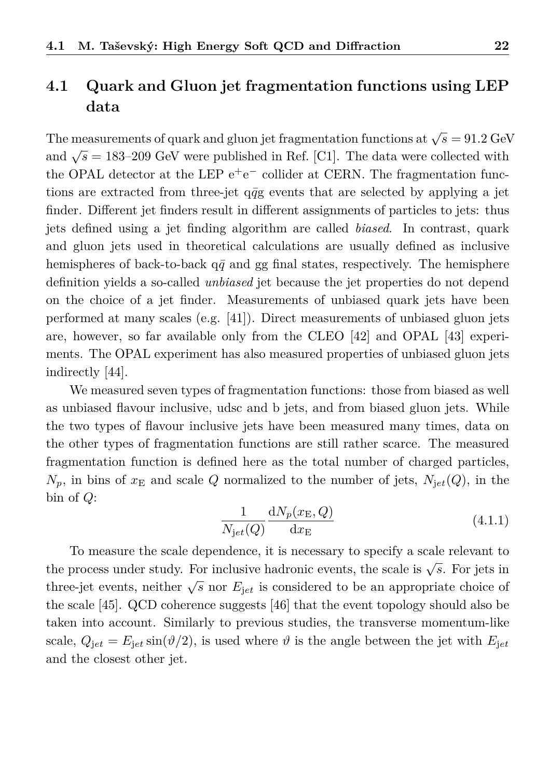# <span id="page-22-0"></span>**4.1 Quark and Gluon jet fragmentation functions using LEP data**

The measurements of quark and gluon jet fragmentation functions at  $\sqrt{s} = 91.2 \text{ GeV}$ and  $\sqrt{s}$  = 183–209 GeV were published in Ref. [\[C1\]](#page-34-3). The data were collected with the OPAL detector at the LEP  $e^+e^-$  collider at CERN. The fragmentation functions are extracted from three-jet  $q\bar{q}g$  events that are selected by applying a jet finder. Different jet finders result in different assignments of particles to jets: thus jets defined using a jet finding algorithm are called *biased*. In contrast, quark and gluon jets used in theoretical calculations are usually defined as inclusive hemispheres of back-to-back  $q\bar{q}$  and gg final states, respectively. The hemisphere definition yields a so-called *unbiased* jet because the jet properties do not depend on the choice of a jet finder. Measurements of unbiased quark jets have been performed at many scales (e.g. [\[41\]](#page-38-3)). Direct measurements of unbiased gluon jets are, however, so far available only from the CLEO [\[42\]](#page-38-4) and OPAL [\[43\]](#page-38-5) experiments. The OPAL experiment has also measured properties of unbiased gluon jets indirectly [\[44\]](#page-38-6).

We measured seven types of fragmentation functions: those from biased as well as unbiased flavour inclusive, udsc and b jets, and from biased gluon jets. While the two types of flavour inclusive jets have been measured many times, data on the other types of fragmentation functions are still rather scarce. The measured fragmentation function is defined here as the total number of charged particles,  $N_p$ , in bins of  $x_E$  and scale *Q* normalized to the number of jets,  $N_{jet}(Q)$ , in the bin of *Q*:

$$
\frac{1}{N_{jet}(Q)} \frac{\mathrm{d}N_p(x_{\rm E}, Q)}{\mathrm{d}x_{\rm E}} \tag{4.1.1}
$$

To measure the scale dependence, it is necessary to specify a scale relevant to the process under study. For inclusive hadronic events, the scale is  $\sqrt{s}$ . For jets in three-jet events, neither  $\sqrt{s}$  nor  $E_{jet}$  is considered to be an appropriate choice of the scale [\[45\]](#page-38-7). QCD coherence suggests [\[46\]](#page-38-8) that the event topology should also be taken into account. Similarly to previous studies, the transverse momentum-like scale,  $Q_{\text{iet}} = E_{\text{iet}} \sin(\vartheta/2)$ , is used where  $\vartheta$  is the angle between the jet with  $E_{\text{iet}}$ and the closest other jet.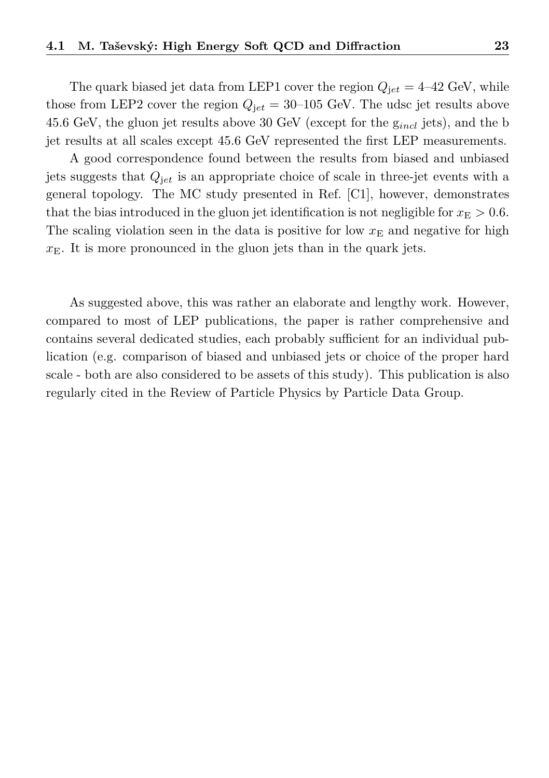The quark biased jet data from LEP1 cover the region  $Q_{\text{jet}} = 4-42 \text{ GeV}$ , while those from LEP2 cover the region  $Q_{jet} = 30{\text -}105$  GeV. The udsc jet results above 45.6 GeV, the gluon jet results above 30 GeV (except for the g*incl* jets), and the b jet results at all scales except 45.6 GeV represented the first LEP measurements.

A good correspondence found between the results from biased and unbiased jets suggests that *Q*j*et* is an appropriate choice of scale in three-jet events with a general topology. The MC study presented in Ref. [\[C1\]](#page-34-3), however, demonstrates that the bias introduced in the gluon jet identification is not negligible for  $x_{\rm E} > 0.6$ . The scaling violation seen in the data is positive for low  $x<sub>E</sub>$  and negative for high  $x<sub>E</sub>$ . It is more pronounced in the gluon jets than in the quark jets.

As suggested above, this was rather an elaborate and lengthy work. However, compared to most of LEP publications, the paper is rather comprehensive and contains several dedicated studies, each probably sufficient for an individual publication (e.g. comparison of biased and unbiased jets or choice of the proper hard scale - both are also considered to be assets of this study). This publication is also regularly cited in the Review of Particle Physics by Particle Data Group.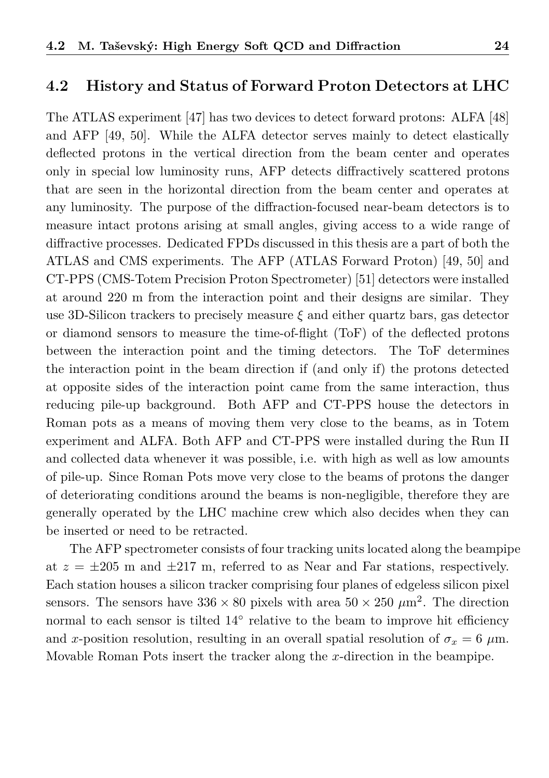### <span id="page-24-0"></span>**4.2 History and Status of Forward Proton Detectors at LHC**

The ATLAS experiment [\[47\]](#page-38-9) has two devices to detect forward protons: ALFA [\[48\]](#page-38-10) and AFP [\[49,](#page-38-11) [50\]](#page-39-0). While the ALFA detector serves mainly to detect elastically deflected protons in the vertical direction from the beam center and operates only in special low luminosity runs, AFP detects diffractively scattered protons that are seen in the horizontal direction from the beam center and operates at any luminosity. The purpose of the diffraction-focused near-beam detectors is to measure intact protons arising at small angles, giving access to a wide range of diffractive processes. Dedicated FPDs discussed in this thesis are a part of both the ATLAS and CMS experiments. The AFP (ATLAS Forward Proton) [\[49,](#page-38-11) [50\]](#page-39-0) and CT-PPS (CMS-Totem Precision Proton Spectrometer) [\[51\]](#page-39-1) detectors were installed at around 220 m from the interaction point and their designs are similar. They use 3D-Silicon trackers to precisely measure *ξ* and either quartz bars, gas detector or diamond sensors to measure the time-of-flight (ToF) of the deflected protons between the interaction point and the timing detectors. The ToF determines the interaction point in the beam direction if (and only if) the protons detected at opposite sides of the interaction point came from the same interaction, thus reducing pile-up background. Both AFP and CT-PPS house the detectors in Roman pots as a means of moving them very close to the beams, as in Totem experiment and ALFA. Both AFP and CT-PPS were installed during the Run II and collected data whenever it was possible, i.e. with high as well as low amounts of pile-up. Since Roman Pots move very close to the beams of protons the danger of deteriorating conditions around the beams is non-negligible, therefore they are generally operated by the LHC machine crew which also decides when they can be inserted or need to be retracted.

The AFP spectrometer consists of four tracking units located along the beampipe at  $z = \pm 205$  m and  $\pm 217$  m, referred to as Near and Far stations, respectively. Each station houses a silicon tracker comprising four planes of edgeless silicon pixel sensors. The sensors have  $336 \times 80$  pixels with area  $50 \times 250 \ \mu \text{m}^2$ . The direction normal to each sensor is tilted 14℃ relative to the beam to improve hit efficiency and *x*-position resolution, resulting in an overall spatial resolution of  $\sigma_x = 6 \mu m$ . Movable Roman Pots insert the tracker along the *x*-direction in the beampipe.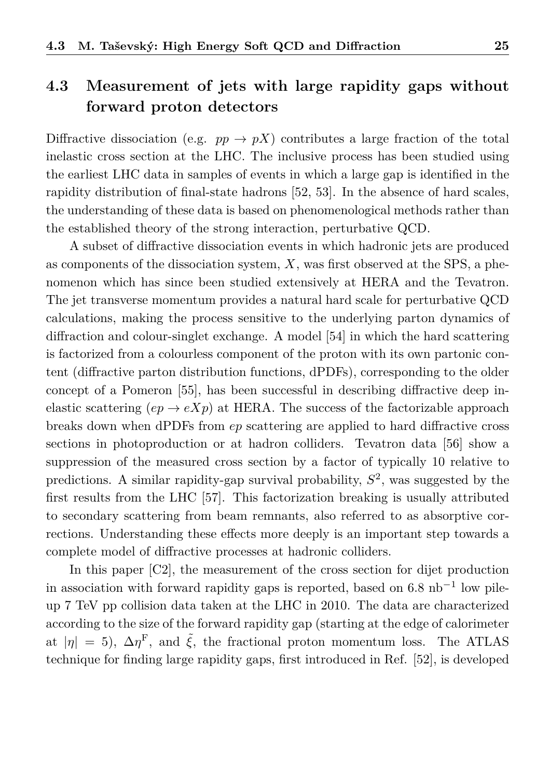## <span id="page-25-0"></span>**4.3 Measurement of jets with large rapidity gaps without forward proton detectors**

Diffractive dissociation (e.g.  $pp \rightarrow pX$ ) contributes a large fraction of the total inelastic cross section at the LHC. The inclusive process has been studied using the earliest LHC data in samples of events in which a large gap is identified in the rapidity distribution of final-state hadrons [\[52,](#page-39-2) [53\]](#page-39-3). In the absence of hard scales, the understanding of these data is based on phenomenological methods rather than the established theory of the strong interaction, perturbative QCD.

A subset of diffractive dissociation events in which hadronic jets are produced as components of the dissociation system, *X*, was first observed at the SPS, a phenomenon which has since been studied extensively at HERA and the Tevatron. The jet transverse momentum provides a natural hard scale for perturbative QCD calculations, making the process sensitive to the underlying parton dynamics of diffraction and colour-singlet exchange. A model [\[54\]](#page-39-4) in which the hard scattering is factorized from a colourless component of the proton with its own partonic content (diffractive parton distribution functions, dPDFs), corresponding to the older concept of a Pomeron [\[55\]](#page-39-5), has been successful in describing diffractive deep inelastic scattering  $(ep \rightarrow eXp)$  at HERA. The success of the factorizable approach breaks down when dPDFs from *ep* scattering are applied to hard diffractive cross sections in photoproduction or at hadron colliders. Tevatron data [\[56\]](#page-39-6) show a suppression of the measured cross section by a factor of typically 10 relative to predictions. A similar rapidity-gap survival probability, *S* 2 , was suggested by the first results from the LHC [\[57\]](#page-39-7). This factorization breaking is usually attributed to secondary scattering from beam remnants, also referred to as absorptive corrections. Understanding these effects more deeply is an important step towards a complete model of diffractive processes at hadronic colliders.

In this paper [\[C2\]](#page-34-4), the measurement of the cross section for dijet production in association with forward rapidity gaps is reported, based on 6*.*8 nb<sup>−</sup><sup>1</sup> low pileup 7 TeV pp collision data taken at the LHC in 2010. The data are characterized according to the size of the forward rapidity gap (starting at the edge of calorimeter at  $|\eta| = 5$ ,  $\Delta \eta^{\text{F}}$ , and  $\tilde{\xi}$ , the fractional proton momentum loss. The ATLAS technique for finding large rapidity gaps, first introduced in Ref. [\[52\]](#page-39-2), is developed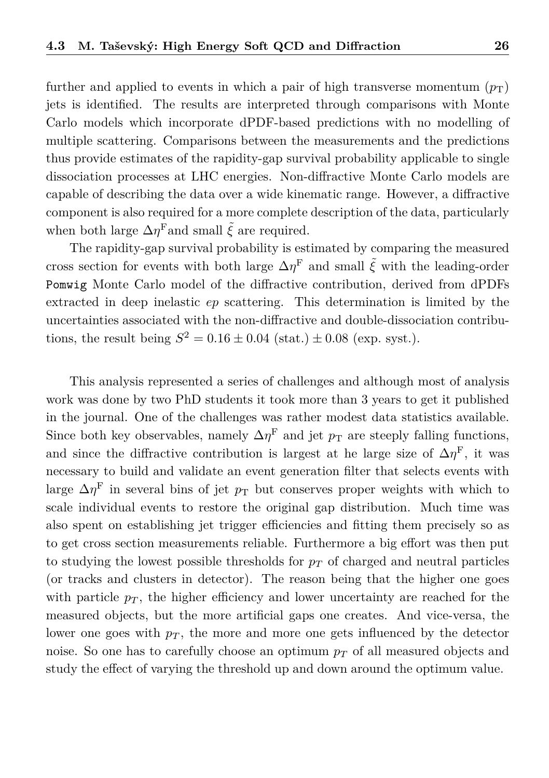further and applied to events in which a pair of high transverse momentum  $(p_T)$ jets is identified. The results are interpreted through comparisons with Monte Carlo models which incorporate dPDF-based predictions with no modelling of multiple scattering. Comparisons between the measurements and the predictions thus provide estimates of the rapidity-gap survival probability applicable to single dissociation processes at LHC energies. Non-diffractive Monte Carlo models are capable of describing the data over a wide kinematic range. However, a diffractive component is also required for a more complete description of the data, particularly when both large  $\Delta \eta^{\text{F}}$  and small  $\tilde{\xi}$  are required.

The rapidity-gap survival probability is estimated by comparing the measured cross section for events with both large  $\Delta \eta^{\mathrm{F}}$  and small  $\tilde{\xi}$  with the leading-order Pomwig Monte Carlo model of the diffractive contribution, derived from dPDFs extracted in deep inelastic *ep* scattering. This determination is limited by the uncertainties associated with the non-diffractive and double-dissociation contributions, the result being  $S^2 = 0.16 \pm 0.04$  (stat.)  $\pm 0.08$  (exp. syst.).

This analysis represented a series of challenges and although most of analysis work was done by two PhD students it took more than 3 years to get it published in the journal. One of the challenges was rather modest data statistics available. Since both key observables, namely  $\Delta \eta^{\text{F}}$  and jet  $p_{\text{T}}$  are steeply falling functions, and since the diffractive contribution is largest at he large size of  $\Delta \eta^{\text{F}}$ , it was necessary to build and validate an event generation filter that selects events with large  $\Delta \eta^{\rm F}$  in several bins of jet  $p_{\rm T}$  but conserves proper weights with which to scale individual events to restore the original gap distribution. Much time was also spent on establishing jet trigger efficiencies and fitting them precisely so as to get cross section measurements reliable. Furthermore a big effort was then put to studying the lowest possible thresholds for  $p<sub>T</sub>$  of charged and neutral particles (or tracks and clusters in detector). The reason being that the higher one goes with particle  $p_T$ , the higher efficiency and lower uncertainty are reached for the measured objects, but the more artificial gaps one creates. And vice-versa, the lower one goes with  $p_T$ , the more and more one gets influenced by the detector noise. So one has to carefully choose an optimum  $p<sub>T</sub>$  of all measured objects and study the effect of varying the threshold up and down around the optimum value.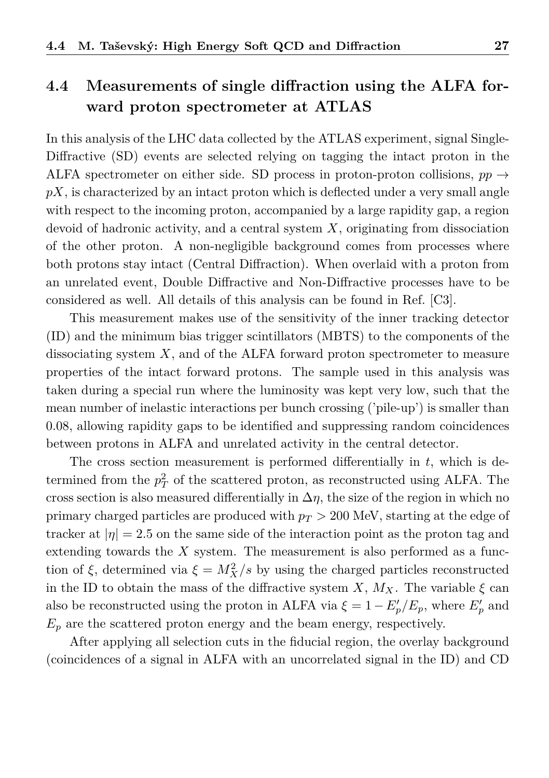## <span id="page-27-0"></span>**4.4 Measurements of single diffraction using the ALFA forward proton spectrometer at ATLAS**

In this analysis of the LHC data collected by the ATLAS experiment, signal Single-Diffractive (SD) events are selected relying on tagging the intact proton in the ALFA spectrometer on either side. SD process in proton-proton collisions,  $pp \rightarrow$ *pX*, is characterized by an intact proton which is deflected under a very small angle with respect to the incoming proton, accompanied by a large rapidity gap, a region devoid of hadronic activity, and a central system *X*, originating from dissociation of the other proton. A non-negligible background comes from processes where both protons stay intact (Central Diffraction). When overlaid with a proton from an unrelated event, Double Diffractive and Non-Diffractive processes have to be considered as well. All details of this analysis can be found in Ref. [\[C3\]](#page-34-5).

This measurement makes use of the sensitivity of the inner tracking detector (ID) and the minimum bias trigger scintillators (MBTS) to the components of the dissociating system *X*, and of the ALFA forward proton spectrometer to measure properties of the intact forward protons. The sample used in this analysis was taken during a special run where the luminosity was kept very low, such that the mean number of inelastic interactions per bunch crossing ('pile-up') is smaller than 0.08, allowing rapidity gaps to be identified and suppressing random coincidences between protons in ALFA and unrelated activity in the central detector.

The cross section measurement is performed differentially in *t*, which is determined from the  $p_T^2$  of the scattered proton, as reconstructed using ALFA. The cross section is also measured differentially in  $\Delta \eta$ , the size of the region in which no primary charged particles are produced with *p<sup>T</sup> >* 200 MeV, starting at the edge of tracker at  $|\eta| = 2.5$  on the same side of the interaction point as the proton tag and extending towards the *X* system. The measurement is also performed as a function of  $\xi$ , determined via  $\xi = M_X^2/s$  by using the charged particles reconstructed in the ID to obtain the mass of the diffractive system  $X$ ,  $M_X$ . The variable  $\xi$  can also be reconstructed using the proton in ALFA via  $\xi = 1 - E_p'/E_p$ , where  $E_p'$  and  $E_p$  are the scattered proton energy and the beam energy, respectively.

After applying all selection cuts in the fiducial region, the overlay background (coincidences of a signal in ALFA with an uncorrelated signal in the ID) and CD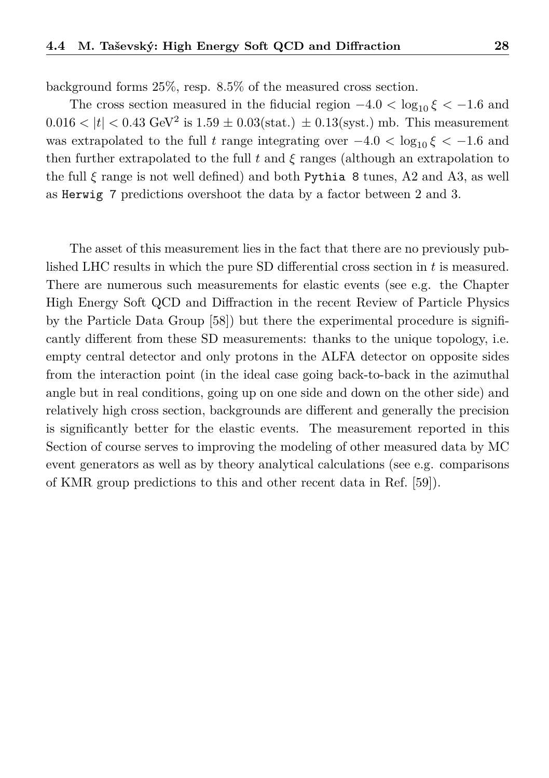background forms 25%, resp. 8.5% of the measured cross section.

The cross section measured in the fiducial region  $-4.0 < \log_{10} \xi < -1.6$  and  $0.016 < |t| < 0.43 \text{ GeV}^2$  is  $1.59 \pm 0.03 (\text{stat.}) \pm 0.13 (\text{syst.}) \text{ mb.}$  This measurement was extrapolated to the full *t* range integrating over  $-4.0 < \log_{10} \xi < -1.6$  and then further extrapolated to the full  $t$  and  $\xi$  ranges (although an extrapolation to the full  $\xi$  range is not well defined) and both Pythia 8 tunes, A2 and A3, as well as Herwig 7 predictions overshoot the data by a factor between 2 and 3.

The asset of this measurement lies in the fact that there are no previously published LHC results in which the pure SD differential cross section in *t* is measured. There are numerous such measurements for elastic events (see e.g. the Chapter High Energy Soft QCD and Diffraction in the recent Review of Particle Physics by the Particle Data Group [\[58\]](#page-39-8)) but there the experimental procedure is significantly different from these SD measurements: thanks to the unique topology, i.e. empty central detector and only protons in the ALFA detector on opposite sides from the interaction point (in the ideal case going back-to-back in the azimuthal angle but in real conditions, going up on one side and down on the other side) and relatively high cross section, backgrounds are different and generally the precision is significantly better for the elastic events. The measurement reported in this Section of course serves to improving the modeling of other measured data by MC event generators as well as by theory analytical calculations (see e.g. comparisons of KMR group predictions to this and other recent data in Ref. [\[59\]](#page-39-9)).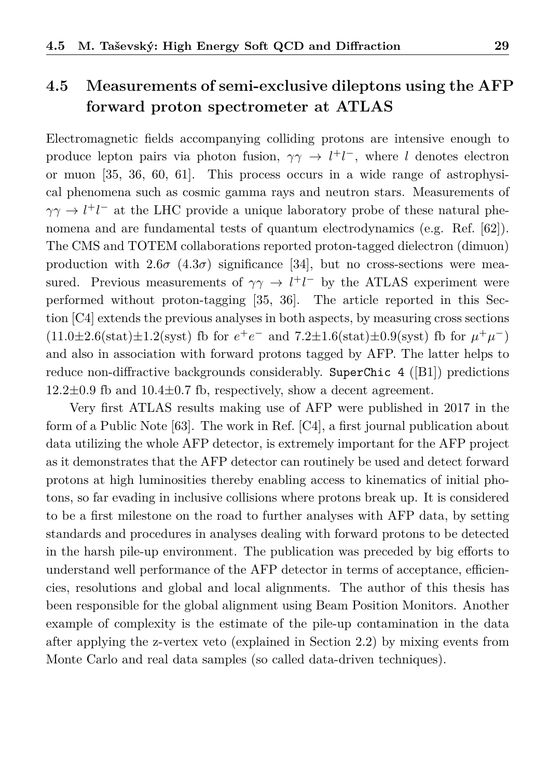# <span id="page-29-0"></span>**4.5 Measurements of semi-exclusive dileptons using the AFP forward proton spectrometer at ATLAS**

Electromagnetic fields accompanying colliding protons are intensive enough to produce lepton pairs via photon fusion,  $\gamma \gamma \rightarrow l^+l^-$ , where *l* denotes electron or muon [\[35,](#page-37-11) [36,](#page-37-12) [60,](#page-39-10) [61\]](#page-39-11). This process occurs in a wide range of astrophysical phenomena such as cosmic gamma rays and neutron stars. Measurements of  $\gamma\gamma \to l^+l^-$  at the LHC provide a unique laboratory probe of these natural phenomena and are fundamental tests of quantum electrodynamics (e.g. Ref. [\[62\]](#page-39-12)). The CMS and TOTEM collaborations reported proton-tagged dielectron (dimuon) production with  $2.6\sigma$  ( $4.3\sigma$ ) significance [\[34\]](#page-37-10), but no cross-sections were measured. Previous measurements of  $\gamma \gamma \rightarrow l^+l^-$  by the ATLAS experiment were performed without proton-tagging [\[35,](#page-37-11) [36\]](#page-37-12). The article reported in this Section [\[C4\]](#page-34-1) extends the previous analyses in both aspects, by measuring cross sections  $(11.0\pm 2.6(stat)\pm 1.2(syst)$  fb for  $e^+e^-$  and  $7.2\pm 1.6(stat)\pm 0.9(syst)$  fb for  $\mu^+\mu^-$ ) and also in association with forward protons tagged by AFP. The latter helps to reduce non-diffractive backgrounds considerably. SuperChic 4 ([\[B1\]](#page-34-0)) predictions  $12.2\pm0.9$  fb and  $10.4\pm0.7$  fb, respectively, show a decent agreement.

Very first ATLAS results making use of AFP were published in 2017 in the form of a Public Note [\[63\]](#page-39-13). The work in Ref. [\[C4\]](#page-34-1), a first journal publication about data utilizing the whole AFP detector, is extremely important for the AFP project as it demonstrates that the AFP detector can routinely be used and detect forward protons at high luminosities thereby enabling access to kinematics of initial photons, so far evading in inclusive collisions where protons break up. It is considered to be a first milestone on the road to further analyses with AFP data, by setting standards and procedures in analyses dealing with forward protons to be detected in the harsh pile-up environment. The publication was preceded by big efforts to understand well performance of the AFP detector in terms of acceptance, efficiencies, resolutions and global and local alignments. The author of this thesis has been responsible for the global alignment using Beam Position Monitors. Another example of complexity is the estimate of the pile-up contamination in the data after applying the z-vertex veto (explained in Section [2.2\)](#page-9-0) by mixing events from Monte Carlo and real data samples (so called data-driven techniques).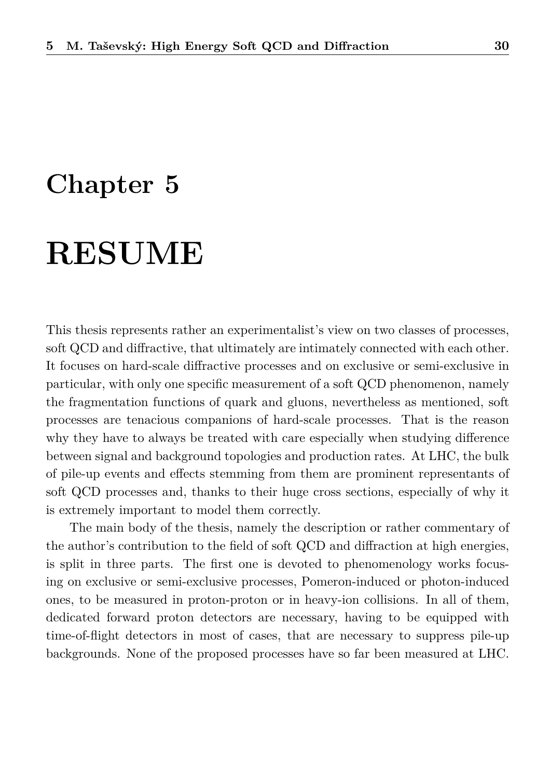# **Chapter 5**

# **RESUME**

This thesis represents rather an experimentalist's view on two classes of processes, soft QCD and diffractive, that ultimately are intimately connected with each other. It focuses on hard-scale diffractive processes and on exclusive or semi-exclusive in particular, with only one specific measurement of a soft QCD phenomenon, namely the fragmentation functions of quark and gluons, nevertheless as mentioned, soft processes are tenacious companions of hard-scale processes. That is the reason why they have to always be treated with care especially when studying difference between signal and background topologies and production rates. At LHC, the bulk of pile-up events and effects stemming from them are prominent representants of soft QCD processes and, thanks to their huge cross sections, especially of why it is extremely important to model them correctly.

The main body of the thesis, namely the description or rather commentary of the author's contribution to the field of soft QCD and diffraction at high energies, is split in three parts. The first one is devoted to phenomenology works focusing on exclusive or semi-exclusive processes, Pomeron-induced or photon-induced ones, to be measured in proton-proton or in heavy-ion collisions. In all of them, dedicated forward proton detectors are necessary, having to be equipped with time-of-flight detectors in most of cases, that are necessary to suppress pile-up backgrounds. None of the proposed processes have so far been measured at LHC.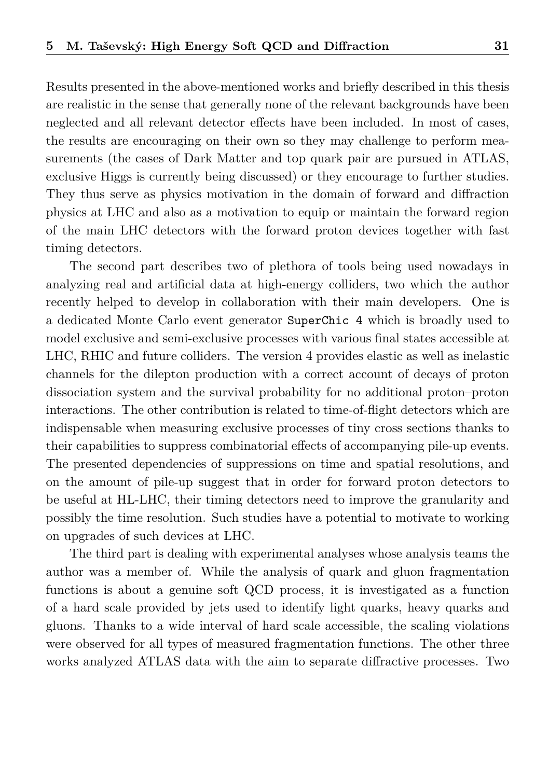Results presented in the above-mentioned works and briefly described in this thesis are realistic in the sense that generally none of the relevant backgrounds have been neglected and all relevant detector effects have been included. In most of cases, the results are encouraging on their own so they may challenge to perform measurements (the cases of Dark Matter and top quark pair are pursued in ATLAS, exclusive Higgs is currently being discussed) or they encourage to further studies. They thus serve as physics motivation in the domain of forward and diffraction physics at LHC and also as a motivation to equip or maintain the forward region of the main LHC detectors with the forward proton devices together with fast timing detectors.

The second part describes two of plethora of tools being used nowadays in analyzing real and artificial data at high-energy colliders, two which the author recently helped to develop in collaboration with their main developers. One is a dedicated Monte Carlo event generator SuperChic 4 which is broadly used to model exclusive and semi-exclusive processes with various final states accessible at LHC, RHIC and future colliders. The version 4 provides elastic as well as inelastic channels for the dilepton production with a correct account of decays of proton dissociation system and the survival probability for no additional proton–proton interactions. The other contribution is related to time-of-flight detectors which are indispensable when measuring exclusive processes of tiny cross sections thanks to their capabilities to suppress combinatorial effects of accompanying pile-up events. The presented dependencies of suppressions on time and spatial resolutions, and on the amount of pile-up suggest that in order for forward proton detectors to be useful at HL-LHC, their timing detectors need to improve the granularity and possibly the time resolution. Such studies have a potential to motivate to working on upgrades of such devices at LHC.

The third part is dealing with experimental analyses whose analysis teams the author was a member of. While the analysis of quark and gluon fragmentation functions is about a genuine soft QCD process, it is investigated as a function of a hard scale provided by jets used to identify light quarks, heavy quarks and gluons. Thanks to a wide interval of hard scale accessible, the scaling violations were observed for all types of measured fragmentation functions. The other three works analyzed ATLAS data with the aim to separate diffractive processes. Two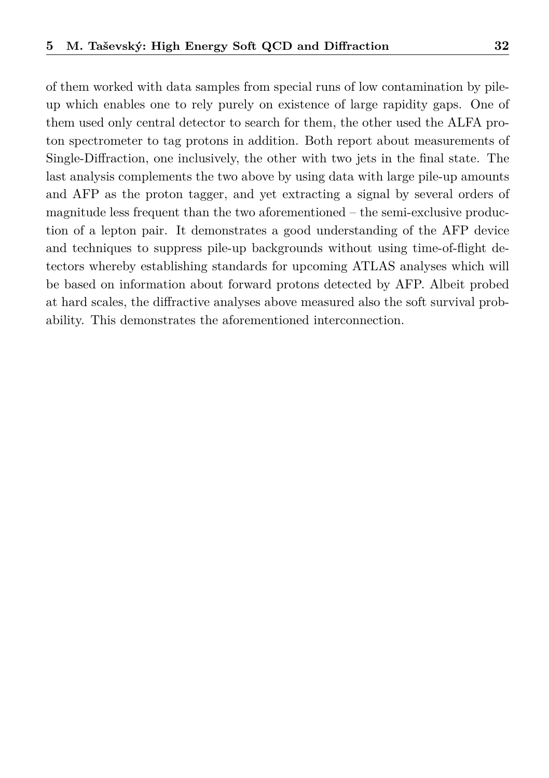of them worked with data samples from special runs of low contamination by pileup which enables one to rely purely on existence of large rapidity gaps. One of them used only central detector to search for them, the other used the ALFA proton spectrometer to tag protons in addition. Both report about measurements of Single-Diffraction, one inclusively, the other with two jets in the final state. The last analysis complements the two above by using data with large pile-up amounts and AFP as the proton tagger, and yet extracting a signal by several orders of magnitude less frequent than the two aforementioned  $-$  the semi-exclusive production of a lepton pair. It demonstrates a good understanding of the AFP device and techniques to suppress pile-up backgrounds without using time-of-flight detectors whereby establishing standards for upcoming ATLAS analyses which will be based on information about forward protons detected by AFP. Albeit probed at hard scales, the diffractive analyses above measured also the soft survival probability. This demonstrates the aforementioned interconnection.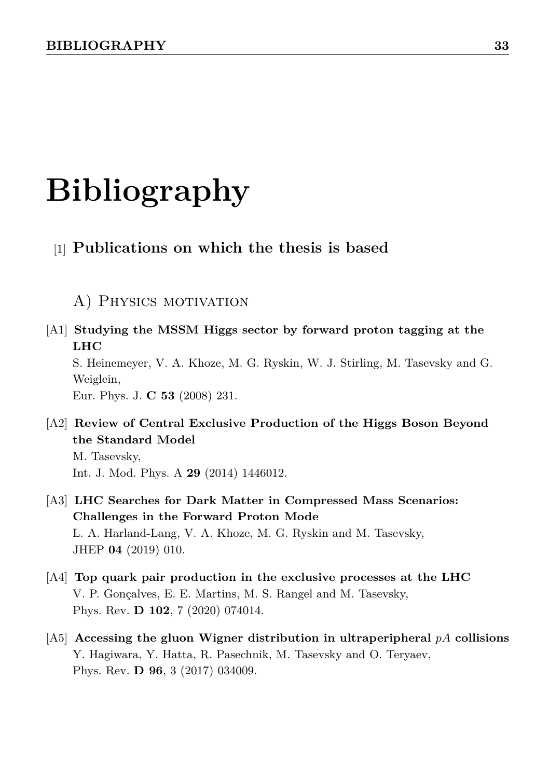# **Bibliography**

### [1] **Publications on which the thesis is based**

# A) PHYSICS MOTIVATION

<span id="page-33-2"></span>[A1] **Studying the MSSM Higgs sector by forward proton tagging at the LHC**

S. Heinemeyer, V. A. Khoze, M. G. Ryskin, W. J. Stirling, M. Tasevsky and G. Weiglein,

Eur. Phys. J. **C 53** (2008) 231.

<span id="page-33-0"></span>[A2] **Review of Central Exclusive Production of the Higgs Boson Beyond the Standard Model**

M. Tasevsky, Int. J. Mod. Phys. A **29** (2014) 1446012.

- <span id="page-33-1"></span>[A3] **LHC Searches for Dark Matter in Compressed Mass Scenarios: Challenges in the Forward Proton Mode** L. A. Harland-Lang, V. A. Khoze, M. G. Ryskin and M. Tasevsky, JHEP **04** (2019) 010.
- <span id="page-33-3"></span>[A4] **Top quark pair production in the exclusive processes at the LHC** V. P. Gonçalves, E. E. Martins, M. S. Rangel and M. Tasevsky, Phys. Rev. **D 102**, 7 (2020) 074014.
- <span id="page-33-4"></span>[A5] **Accessing the gluon Wigner distribution in ultraperipheral** *pA* **collisions** Y. Hagiwara, Y. Hatta, R. Pasechnik, M. Tasevsky and O. Teryaev, Phys. Rev. **D 96**, 3 (2017) 034009.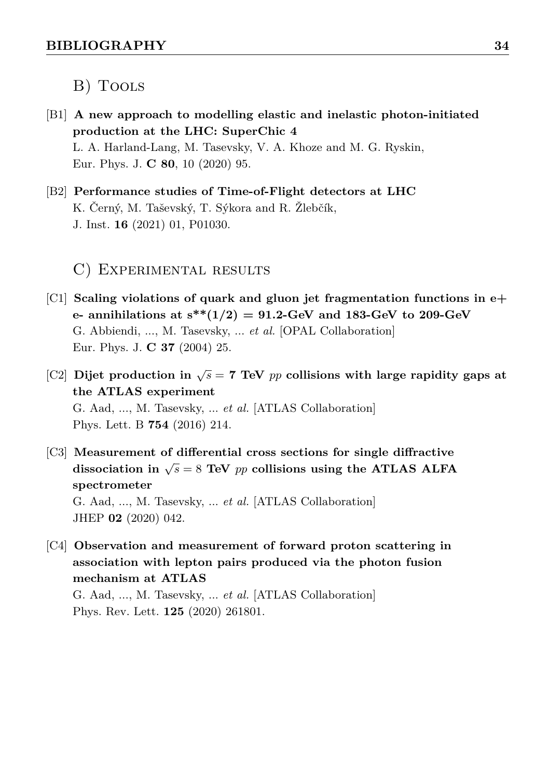### B) Tools

- <span id="page-34-0"></span>[B1] **A new approach to modelling elastic and inelastic photon-initiated production at the LHC: SuperChic 4** L. A. Harland-Lang, M. Tasevsky, V. A. Khoze and M. G. Ryskin, Eur. Phys. J. **C 80**, 10 (2020) 95.
- <span id="page-34-2"></span>[B2] **Performance studies of Time-of-Flight detectors at LHC** K. Černý, M. Taševský, T. Sýkora and R. Žlebčík, J. Inst. **16** (2021) 01, P01030.

#### C) Experimental results

- <span id="page-34-3"></span>[C1] **Scaling violations of quark and gluon jet fragmentation functions in e+ e- annihilations at s\*\*(1/2) = 91.2-GeV and 183-GeV to 209-GeV** G. Abbiendi, ..., M. Tasevsky, ... *et al.* [OPAL Collaboration] Eur. Phys. J. **C 37** (2004) 25.
- <span id="page-34-4"></span>[C2] Dijet production in  $\sqrt{s} = 7$  TeV  $pp$  collisions with large rapidity gaps at **the ATLAS experiment** G. Aad, ..., M. Tasevsky, ... *et al.* [ATLAS Collaboration] Phys. Lett. B **754** (2016) 214.
- <span id="page-34-5"></span>[C3] **Measurement of differential cross sections for single diffractive** dissociation in  $\sqrt{s} = 8$  TeV *pp* collisions using the ATLAS ALFA **spectrometer** G. Aad, ..., M. Tasevsky, ... *et al.* [ATLAS Collaboration] JHEP **02** (2020) 042.
- <span id="page-34-1"></span>[C4] **Observation and measurement of forward proton scattering in association with lepton pairs produced via the photon fusion mechanism at ATLAS**

G. Aad, ..., M. Tasevsky, ... *et al.* [ATLAS Collaboration] Phys. Rev. Lett. **125** (2020) 261801.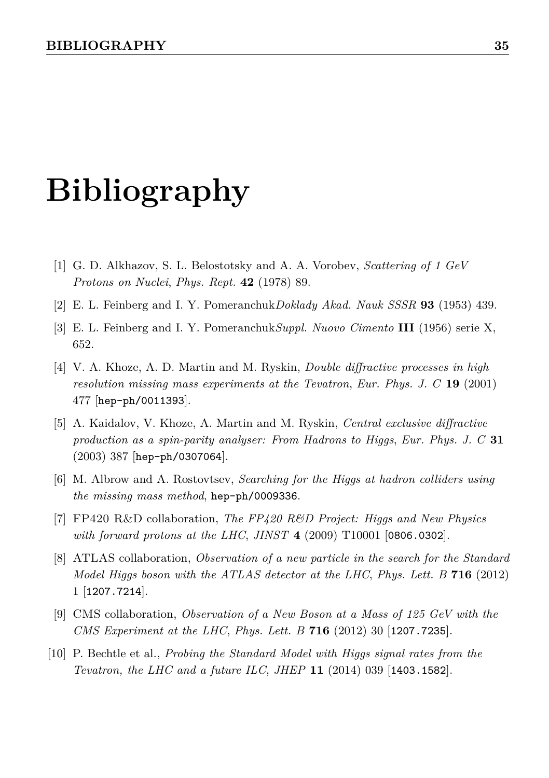# **Bibliography**

- <span id="page-35-0"></span>[1] G. D. Alkhazov, S. L. Belostotsky and A. A. Vorobev, *Scattering of 1 GeV Protons on Nuclei*, *[Phys. Rept.](https://doi.org/10.1016/0370-1573(78)90083-2)* **42** (1978) 89.
- <span id="page-35-1"></span>[2] E. L. Feinberg and I. Y. Pomeranchuk*Doklady Akad. Nauk SSSR* **93** (1953) 439.
- <span id="page-35-2"></span>[3] E. L. Feinberg and I. Y. Pomeranchuk*Suppl. Nuovo Cimento* **III** (1956) serie X, 652.
- <span id="page-35-3"></span>[4] V. A. Khoze, A. D. Martin and M. Ryskin, *Double diffractive processes in high resolution missing mass experiments at the Tevatron*, *[Eur. Phys. J. C](https://doi.org/10.1007/s100520100637)* **19** (2001) [477](https://doi.org/10.1007/s100520100637) [[hep-ph/0011393](https://arxiv.org/abs/hep-ph/0011393)].
- <span id="page-35-4"></span>[5] A. Kaidalov, V. Khoze, A. Martin and M. Ryskin, *Central exclusive diffractive production as a spin-parity analyser: From Hadrons to Higgs*, *[Eur. Phys. J. C](https://doi.org/10.1140/epjc/s2003-01371-5)* **31** [\(2003\) 387](https://doi.org/10.1140/epjc/s2003-01371-5) [[hep-ph/0307064](https://arxiv.org/abs/hep-ph/0307064)].
- <span id="page-35-5"></span>[6] M. Albrow and A. Rostovtsev, *Searching for the Higgs at hadron colliders using the missing mass method*, [hep-ph/0009336](https://arxiv.org/abs/hep-ph/0009336).
- <span id="page-35-6"></span>[7] FP420 R&D collaboration, *The FP420 R&D Project: Higgs and New Physics with forward protons at the LHC*, *JINST* **4** [\(2009\) T10001](https://doi.org/10.1088/1748-0221/4/10/T10001) [[0806.0302](https://arxiv.org/abs/0806.0302)].
- <span id="page-35-7"></span>[8] ATLAS collaboration, *Observation of a new particle in the search for the Standard Model Higgs boson with the ATLAS detector at the LHC*, *[Phys. Lett. B](https://doi.org/10.1016/j.physletb.2012.08.020)* **716** (2012) [1](https://doi.org/10.1016/j.physletb.2012.08.020) [[1207.7214](https://arxiv.org/abs/1207.7214)].
- <span id="page-35-8"></span>[9] CMS collaboration, *Observation of a New Boson at a Mass of 125 GeV with the CMS Experiment at the LHC*, *[Phys. Lett. B](https://doi.org/10.1016/j.physletb.2012.08.021)* **716** (2012) 30 [[1207.7235](https://arxiv.org/abs/1207.7235)].
- <span id="page-35-9"></span>[10] P. Bechtle et al., *Probing the Standard Model with Higgs signal rates from the Tevatron, the LHC and a future ILC*, *JHEP* **11** [\(2014\) 039](https://doi.org/10.1007/JHEP11(2014)039) [[1403.1582](https://arxiv.org/abs/1403.1582)].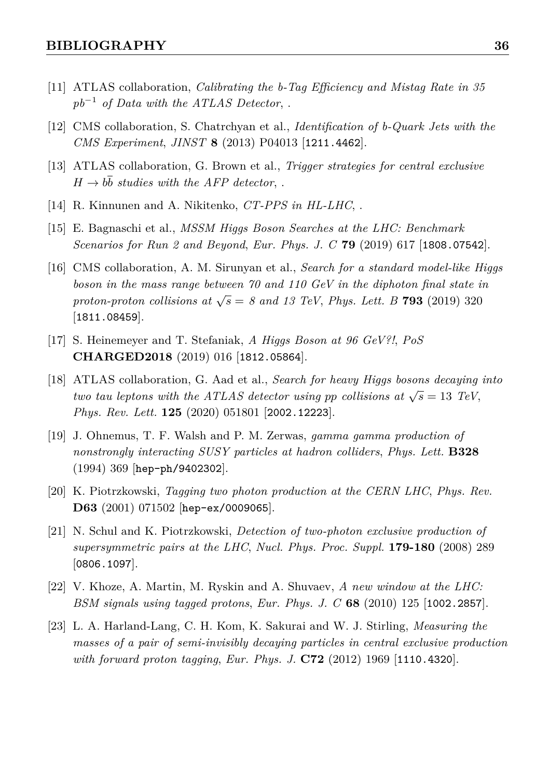- <span id="page-36-0"></span>[11] ATLAS collaboration, *Calibrating the b-Tag Efficiency and Mistag Rate in 35 pb*<sup>−</sup><sup>1</sup> *of Data with the ATLAS Detector*, .
- <span id="page-36-1"></span>[12] CMS collaboration, S. Chatrchyan et al., *Identification of b-Quark Jets with the CMS Experiment*, *JINST* **8** [\(2013\) P04013](https://doi.org/10.1088/1748-0221/8/04/P04013) [[1211.4462](https://arxiv.org/abs/1211.4462)].
- <span id="page-36-2"></span>[13] ATLAS collaboration, G. Brown et al., *Trigger strategies for central exclusive*  $H \rightarrow b\bar{b}$  *studies with the AFP detector,.*
- <span id="page-36-3"></span>[14] R. Kinnunen and A. Nikitenko, *CT-PPS in HL-LHC*, .
- <span id="page-36-4"></span>[15] E. Bagnaschi et al., *MSSM Higgs Boson Searches at the LHC: Benchmark Scenarios for Run 2 and Beyond*, *[Eur. Phys. J. C](https://doi.org/10.1140/epjc/s10052-019-7114-8)* **79** (2019) 617 [[1808.07542](https://arxiv.org/abs/1808.07542)].
- <span id="page-36-5"></span>[16] CMS collaboration, A. M. Sirunyan et al., *Search for a standard model-like Higgs boson in the mass range between 70 and 110 GeV in the diphoton final state in proton-proton collisions at*  $\sqrt{s} = 8$  *and 13 TeV, [Phys. Lett. B](https://doi.org/10.1016/j.physletb.2019.03.064)* **793** (2019) 320 [[1811.08459](https://arxiv.org/abs/1811.08459)].
- <span id="page-36-6"></span>[17] S. Heinemeyer and T. Stefaniak, *A Higgs Boson at 96 GeV?!*, *[PoS](https://doi.org/10.22323/1.339.0016)* **[CHARGED2018](https://doi.org/10.22323/1.339.0016)** (2019) 016 [[1812.05864](https://arxiv.org/abs/1812.05864)].
- <span id="page-36-7"></span>[18] ATLAS collaboration, G. Aad et al., *Search for heavy Higgs bosons decaying into two tau leptons with the ATLAS detector using pp collisions at*  $\sqrt{s} = 13$  *TeV*, *[Phys. Rev. Lett.](https://doi.org/10.1103/PhysRevLett.125.051801)* **125** (2020) 051801 [[2002.12223](https://arxiv.org/abs/2002.12223)].
- <span id="page-36-8"></span>[19] J. Ohnemus, T. F. Walsh and P. M. Zerwas, *gamma gamma production of nonstrongly interacting SUSY particles at hadron colliders*, *[Phys. Lett.](https://doi.org/10.1016/0370-2693(94)91492-3)* **B328** [\(1994\) 369](https://doi.org/10.1016/0370-2693(94)91492-3) [[hep-ph/9402302](https://arxiv.org/abs/hep-ph/9402302)].
- [20] K. Piotrzkowski, *Tagging two photon production at the CERN LHC*, *[Phys. Rev.](https://doi.org/10.1103/PhysRevD.63.071502)* **D63** [\(2001\) 071502](https://doi.org/10.1103/PhysRevD.63.071502) [[hep-ex/0009065](https://arxiv.org/abs/hep-ex/0009065)].
- [21] N. Schul and K. Piotrzkowski, *Detection of two-photon exclusive production of supersymmetric pairs at the LHC*, *[Nucl. Phys. Proc. Suppl.](https://doi.org/10.1016/j.nuclphysbps.2008.07.036)* **179-180** (2008) 289 [[0806.1097](https://arxiv.org/abs/0806.1097)].
- [22] V. Khoze, A. Martin, M. Ryskin and A. Shuvaev, *A new window at the LHC: BSM signals using tagged protons*, *[Eur. Phys. J. C](https://doi.org/10.1140/epjc/s10052-010-1308-4)* **68** (2010) 125 [[1002.2857](https://arxiv.org/abs/1002.2857)].
- <span id="page-36-9"></span>[23] L. A. Harland-Lang, C. H. Kom, K. Sakurai and W. J. Stirling, *Measuring the masses of a pair of semi-invisibly decaying particles in central exclusive production with forward proton tagging*, *[Eur. Phys. J.](https://doi.org/10.1140/epjc/s10052-012-1969-2)* **C72** (2012) 1969 [[1110.4320](https://arxiv.org/abs/1110.4320)].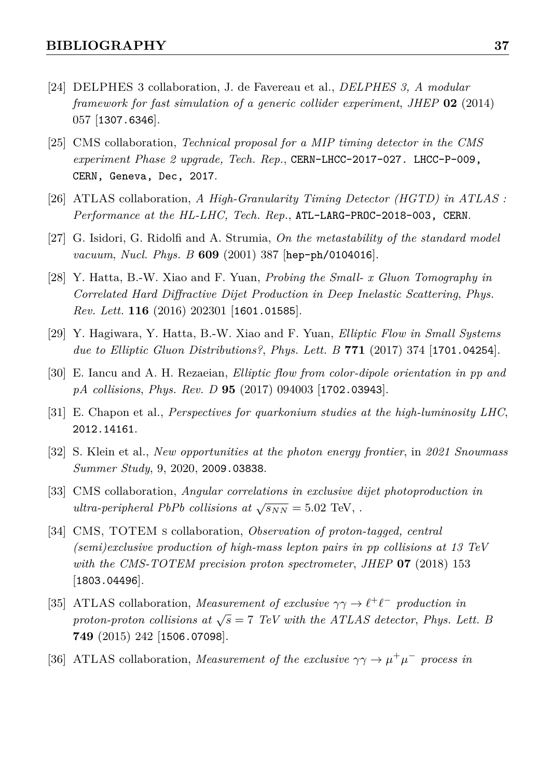- <span id="page-37-0"></span>[24] DELPHES 3 collaboration, J. de Favereau et al., *DELPHES 3, A modular framework for fast simulation of a generic collider experiment*, *JHEP* **02** [\(2014\)](https://doi.org/10.1007/JHEP02(2014)057) [057](https://doi.org/10.1007/JHEP02(2014)057) [[1307.6346](https://arxiv.org/abs/1307.6346)].
- <span id="page-37-1"></span>[25] CMS collaboration, *Technical proposal for a MIP timing detector in the CMS experiment Phase 2 upgrade, Tech. Rep.*, [CERN-LHCC-2017-027. LHCC-P-009,](https://arxiv.org/abs/CERN-LHCC-2017-027. LHCC-P-009, CERN, Geneva, Dec, 2017) [CERN, Geneva, Dec, 2017](https://arxiv.org/abs/CERN-LHCC-2017-027. LHCC-P-009, CERN, Geneva, Dec, 2017).
- <span id="page-37-2"></span>[26] ATLAS collaboration, *A High-Granularity Timing Detector (HGTD) in ATLAS : Performance at the HL-LHC, Tech. Rep.*, [ATL-LARG-PROC-2018-003, CERN](https://arxiv.org/abs/ATL-LARG-PROC-2018-003, CERN).
- <span id="page-37-3"></span>[27] G. Isidori, G. Ridolfi and A. Strumia, *On the metastability of the standard model vacuum*, *[Nucl. Phys. B](https://doi.org/10.1016/S0550-3213(01)00302-9)* **609** (2001) 387 [[hep-ph/0104016](https://arxiv.org/abs/hep-ph/0104016)].
- <span id="page-37-4"></span>[28] Y. Hatta, B.-W. Xiao and F. Yuan, *Probing the Small- x Gluon Tomography in Correlated Hard Diffractive Dijet Production in Deep Inelastic Scattering*, *[Phys.](https://doi.org/10.1103/PhysRevLett.116.202301) Rev. Lett.* **116** [\(2016\) 202301](https://doi.org/10.1103/PhysRevLett.116.202301) [[1601.01585](https://arxiv.org/abs/1601.01585)].
- <span id="page-37-5"></span>[29] Y. Hagiwara, Y. Hatta, B.-W. Xiao and F. Yuan, *Elliptic Flow in Small Systems due to Elliptic Gluon Distributions?*, *[Phys. Lett. B](https://doi.org/10.1016/j.physletb.2017.05.083)* **771** (2017) 374 [[1701.04254](https://arxiv.org/abs/1701.04254)].
- <span id="page-37-6"></span>[30] E. Iancu and A. H. Rezaeian, *Elliptic flow from color-dipole orientation in pp and pA collisions*, *Phys. Rev. D* **95** [\(2017\) 094003](https://doi.org/10.1103/PhysRevD.95.094003) [[1702.03943](https://arxiv.org/abs/1702.03943)].
- <span id="page-37-7"></span>[31] E. Chapon et al., *Perspectives for quarkonium studies at the high-luminosity LHC*, [2012.14161](https://arxiv.org/abs/2012.14161).
- <span id="page-37-8"></span>[32] S. Klein et al., *New opportunities at the photon energy frontier*, in *2021 Snowmass Summer Study*, 9, 2020, [2009.03838](https://arxiv.org/abs/2009.03838).
- <span id="page-37-9"></span>[33] CMS collaboration, *Angular correlations in exclusive dijet photoproduction in ultra-peripheral PbPb collisions at*  $\sqrt{s_{NN}} = 5.02$  TeV, .
- <span id="page-37-10"></span>[34] CMS, TOTEM s collaboration, *Observation of proton-tagged, central (semi)exclusive production of high-mass lepton pairs in pp collisions at 13 TeV with the CMS-TOTEM precision proton spectrometer*, *JHEP* **07** [\(2018\) 153](https://doi.org/10.1007/JHEP07(2018)153) [[1803.04496](https://arxiv.org/abs/1803.04496)].
- <span id="page-37-11"></span>[35] ATLAS collaboration, *Measurement of exclusive*  $\gamma \gamma \rightarrow \ell^+ \ell^-$  production in *proton-proton collisions at*  $\sqrt{s} = 7$  *TeV with the ATLAS detector, [Phys. Lett. B](https://doi.org/10.1016/j.physletb.2015.07.069)* **749** [\(2015\) 242](https://doi.org/10.1016/j.physletb.2015.07.069) [[1506.07098](https://arxiv.org/abs/1506.07098)].
- <span id="page-37-12"></span>[36] ATLAS collaboration, *Measurement of the exclusive*  $\gamma \gamma \rightarrow \mu^+ \mu^-$  process in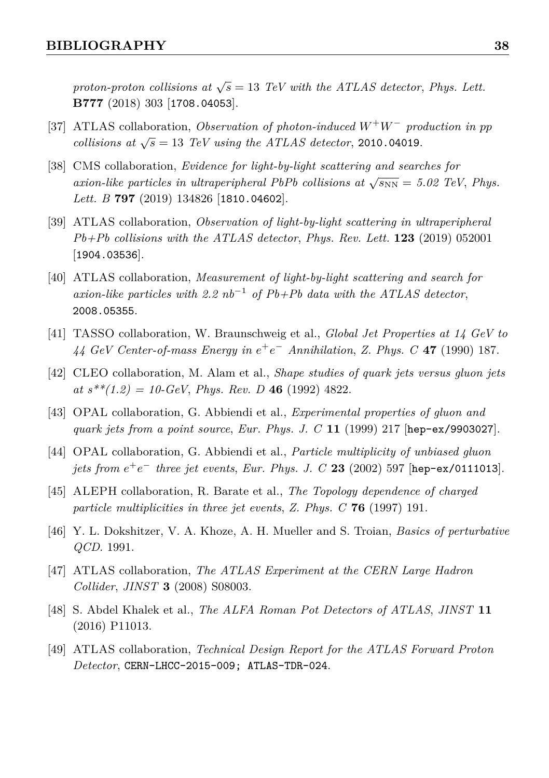*proton-proton collisions at*  $\sqrt{s} = 13$  *TeV with the ATLAS detector, [Phys. Lett.](https://doi.org/10.1016/j.physletb.2017.12.043)* **B777** [\(2018\) 303](https://doi.org/10.1016/j.physletb.2017.12.043) [[1708.04053](https://arxiv.org/abs/1708.04053)].

- <span id="page-38-0"></span>[37] ATLAS collaboration, *Observation of photon-induced W*<sup>+</sup>*W*<sup>−</sup> *production in pp collisions at*  $\sqrt{s} = 13$  *TeV using the ATLAS detector*, [2010.04019](https://arxiv.org/abs/2010.04019).
- <span id="page-38-1"></span>[38] CMS collaboration, *Evidence for light-by-light scattering and searches for axion-like particles in ultraperipheral PbPb collisions at*  $\sqrt{s_{NN}} = 5.02$  TeV, *[Phys.](https://doi.org/10.1016/j.physletb.2019.134826) Lett. B* **797** [\(2019\) 134826](https://doi.org/10.1016/j.physletb.2019.134826) [[1810.04602](https://arxiv.org/abs/1810.04602)].
- [39] ATLAS collaboration, *Observation of light-by-light scattering in ultraperipheral Pb+Pb collisions with the ATLAS detector*, *[Phys. Rev. Lett.](https://doi.org/10.1103/PhysRevLett.123.052001)* **123** (2019) 052001 [[1904.03536](https://arxiv.org/abs/1904.03536)].
- <span id="page-38-2"></span>[40] ATLAS collaboration, *Measurement of light-by-light scattering and search for axion-like particles with 2.2 nb*<sup>−</sup><sup>1</sup> *of Pb+Pb data with the ATLAS detector*, [2008.05355](https://arxiv.org/abs/2008.05355).
- <span id="page-38-3"></span>[41] TASSO collaboration, W. Braunschweig et al., *Global Jet Properties at 14 GeV to 44 GeV Center-of-mass Energy in e* +*e* <sup>−</sup> *Annihilation*, *Z. Phys. C* **47** [\(1990\) 187.](https://doi.org/10.1007/BF01552339)
- <span id="page-38-4"></span>[42] CLEO collaboration, M. Alam et al., *Shape studies of quark jets versus gluon jets*  $at s^{**}(1.2) = 10 \text{-} GeV$ , *[Phys. Rev. D](https://doi.org/10.1103/PhysRevD.46.4822)* 46 (1992) 4822.
- <span id="page-38-5"></span>[43] OPAL collaboration, G. Abbiendi et al., *Experimental properties of gluon and quark jets from a point source*, *[Eur. Phys. J. C](https://doi.org/10.1007/s100520050628)* **11** (1999) 217 [[hep-ex/9903027](https://arxiv.org/abs/hep-ex/9903027)].
- <span id="page-38-6"></span>[44] OPAL collaboration, G. Abbiendi et al., *Particle multiplicity of unbiased gluon jets from e* +*e* <sup>−</sup> *three jet events*, *[Eur. Phys. J. C](https://doi.org/10.1007/s100520200926)* **23** (2002) 597 [[hep-ex/0111013](https://arxiv.org/abs/hep-ex/0111013)].
- <span id="page-38-7"></span>[45] ALEPH collaboration, R. Barate et al., *The Topology dependence of charged particle multiplicities in three jet events*, *Z. Phys. C* **76** [\(1997\) 191.](https://doi.org/10.1007/s002880050543)
- <span id="page-38-8"></span>[46] Y. L. Dokshitzer, V. A. Khoze, A. H. Mueller and S. Troian, *Basics of perturbative QCD*. 1991.
- <span id="page-38-9"></span>[47] ATLAS collaboration, *The ATLAS Experiment at the CERN Large Hadron Collider*, *JINST* **3** [\(2008\) S08003.](https://doi.org/10.1088/1748-0221/3/08/S08003)
- <span id="page-38-10"></span>[48] S. Abdel Khalek et al., *The ALFA Roman Pot Detectors of ATLAS*, *[JINST](https://doi.org/10.1088/1748-0221/11/11/P11013)* **11** [\(2016\) P11013.](https://doi.org/10.1088/1748-0221/11/11/P11013)
- <span id="page-38-11"></span>[49] ATLAS collaboration, *Technical Design Report for the ATLAS Forward Proton Detector*, [CERN-LHCC-2015-009; ATLAS-TDR-024](https://arxiv.org/abs/CERN-LHCC-2015-009; ATLAS-TDR-024).